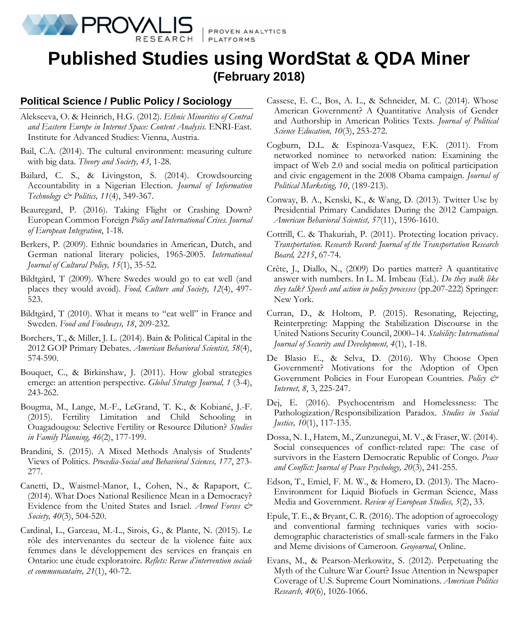

PROVEN ANALYTICS

# **Published Studies using WordStat & QDA Miner (February 2018)**

# **Political Science / Public Policy / Sociology**

- Alekseeva, O. & Heinrich, H.G. (2012). *Ethnic Minorities of Central and Eastern Europe in Internet Space: Content Analysis.* ENRI-East. Institute for Advanced Studies: Vienna, Austria.
- Bail, C.A. (2014). The cultural environment: measuring culture with big data. *Theory and Society, 43*, 1-28.
- Bailard, C. S., & Livingston, S. (2014). Crowdsourcing Accountability in a Nigerian Election. *Journal of Information Technology & Politics, 11*(4), 349-367.
- Beauregard, P. (2016). Taking Flight or Crashing Down? European Common Foreign *Policy and International Crises. Journal of European Integration*, 1-18.
- Berkers, P. (2009). Ethnic boundaries in American, Dutch, and German national literary policies, 1965-2005. *International Journal of Cultural Policy, 15*(1), 35-52.
- Bildtgård, T (2009). Where Swedes would go to eat well (and places they would avoid). *Food, Culture and Society, 12*(4), 497- 523.
- Bildtgård, T (2010). What it means to "eat well" in France and Sweden. *Food and Foodways, 18*, 209-232.
- Borchers, T., & Miller, J. L. (2014). Bain & Political Capital in the 2012 GOP Primary Debates. *American Behavioral Scientist, 58*(4), 574-590.
- Bouquet, C., & Birkinshaw, J. (2011). How global strategies emerge: an attention perspective*. Global Strategy Journal, 1* (3-4), 243-262.
- Bougma, M., Lange, M.-F., LeGrand, T. K., & Kobiané, J.-F. (2015). Fertility Limitation and Child Schooling in Ouagadougou: Selective Fertility or Resource Dilution? *Studies in Family Planning, 46*(2), 177-199.
- Brandini, S. (2015). A Mixed Methods Analysis of Students' Views of Politics. *Procedia-Social and Behavioral Sciences, 177*, 273- 277.
- Canetti, D., Waismel-Manor, I., Cohen, N., & Rapaport, C. (2014). What Does National Resilience Mean in a Democracy? Evidence from the United States and Israel. *Armed Forces & Society, 40*(3), 504-520.
- Cardinal, L., Garceau, M.-L., Sirois, G., & Plante, N. (2015). Le rôle des intervenantes du secteur de la violence faite aux femmes dans le développement des services en français en Ontario: une étude exploratoire. *Reflets: Revue d'intervention sociale et communautaire, 21*(1), 40-72.
- Cassese, E. C., Bos, A. L., & Schneider, M. C. (2014). Whose American Government? A Quantitative Analysis of Gender and Authorship in American Politics Texts. *Journal of Political Science Education, 10*(3), 253-272.
- Cogburn, D.L. & Espinoza-Vasquez, F.K. (2011). From networked nominee to networked nation: Examining the impact of Web 2.0 and social media on political participation and civic engagement in the 2008 Obama campaign. *Journal of Political Marketing, 10*, (189-213).
- Conway, B. A., Kenski, K., & Wang, D. (2013). Twitter Use by Presidential Primary Candidates During the 2012 Campaign. *American Behavioral Scientist, 57*(11), 1596-1610.
- Cottrill, C. & Thakuriah, P. (2011). Protecting location privacy. *Transportation. Research Record: Journal of the Transportation Research Board, 2215*, 67-74.
- Crête, J., Diallo, N., (2009) Do parties matter? A quantitative answer with numbers. In L. M. Imbeau (Ed.). *Do they walk like they talk? Speech and action in policy processes* (pp.207-222) Springer: New York.
- Curran, D., & Holtom, P. (2015). Resonating, Rejecting, Reinterpreting: Mapping the Stabilization Discourse in the United Nations Security Council, 2000–14. *Stability: International Journal of Security and Development, 4*(1), 1-18.
- De Blasio E., & Selva, D. (2016). Why Choose Open Government? Motivations for the Adoption of Open Government Policies in Four European Countries. *Policy & Internet, 8*, 3, 225-247.
- Dej, E. (2016). Psychocentrism and Homelessness: The Pathologization/Responsibilization Paradox. *Studies in Social Justice, 10*(1), 117-135.
- Dossa, N. I., Hatem, M., Zunzunegui, M. V., & Fraser, W. (2014). Social consequences of conflict-related rape: The case of survivors in the Eastern Democratic Republic of Congo. *Peace and Conflict: Journal of Peace Psychology, 20*(3), 241-255.
- Edson, T., Emiel, F. M. W., & Homero, D. (2013). The Macro-Environment for Liquid Biofuels in German Science, Mass Media and Government. *Review of European Studies, 5*(2), 33.
- Epule, T. E., & Bryant, C. R. (2016). The adoption of agroecology and conventional farming techniques varies with sociodemographic characteristics of small-scale farmers in the Fako and Meme divisions of Cameroon. *Geojournal*, Online.
- Evans, M., & Pearson-Merkowitz, S. (2012). Perpetuating the Myth of the Culture War Court? Issue Attention in Newspaper Coverage of U.S. Supreme Court Nominations. *American Politics Research, 40*(6), 1026-1066.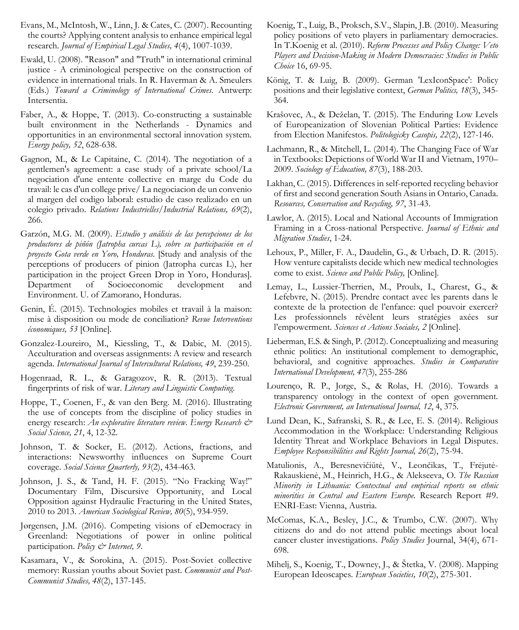- Evans, M., McIntosh, W., Linn, J. & Cates, C. (2007). Recounting the courts? Applying content analysis to enhance empirical legal research. *Journal of Empirical Legal Studies, 4*(4), 1007-1039.
- Ewald, U. (2008). "Reason" and "Truth" in international criminal justice - A criminological perspective on the construction of evidence in international trials. In R. Haverman & A. Smeulers (Eds.) *Toward a Criminology of International Crimes*. Antwerp: Intersentia.
- Faber, A., & Hoppe, T. (2013). Co-constructing a sustainable built environment in the Netherlands - Dynamics and opportunities in an environmental sectoral innovation system*. Energy policy, 52*, 628-638.
- Gagnon, M., & Le Capitaine, C. (2014). The negotiation of a gentlemen's agreement: a case study of a private school/La negociation d'une entente collective en marge du Code du travail: le cas d'un college prive/ La negociacion de un convenio al margen del codigo laboral: estudio de caso realizado en un colegio privado. *Relations Industrielles/Industrial Relations, 69*(2), 266.
- Garzón, M.G. M. (2009). *Estudio y análisis de las percepciones de los productores de piñón (Jatropha curcas L), sobre su participación en el proyecto Gota verde en Yoro, Honduras.* [Study and analysis of the perceptions of producers of pinion (Jatropha curcas L), her participation in the project Green Drop in Yoro, Honduras]. Department of Socioeconomic development and Environment. U. of Zamorano, Honduras.
- Genin, É. (2015). Technologies mobiles et travail à la maison: mise à disposition ou mode de conciliation? *Revue Interventions économiques, 53* [Online]*.*
- Gonzalez-Loureiro, M., Kiessling, T., & Dabic, M. (2015). Acculturation and overseas assignments: A review and research agenda. *International Journal of Intercultural Relations, 49*, 239-250.
- Hogenraad, R. L., & Garagozov, R. R. (2013). Textual fingerprints of risk of war. *Literary and Linguistic Computing*.
- Hoppe, T., Coenen, F., & van den Berg. M. (2016). Illustrating the use of concepts from the discipline of policy studies in energy research: *An explorative literature review*. Energy Research & *Social Science, 21*, 4, 12-32.
- Johnson, T. & Socker, E. (2012). Actions, fractions, and interactions: Newsworthy influences on Supreme Court coverage*. Social Science Quarterly, 93*(2), 434-463.
- Johnson, J. S., & Tand, H. F. (2015). "No Fracking Way!" Documentary Film, Discursive Opportunity, and Local Opposition against Hydraulic Fracturing in the United States, 2010 to 2013. *American Sociological Review, 80*(5), 934-959.
- Jørgensen, J.M. (2016). Competing visions of eDemocracy in Greenland: Negotiations of power in online political participation. *Policy & Internet, 9*.
- Kasamara, V., & Sorokina, A. (2015). Post-Soviet collective memory: Russian youths about Soviet past. *Communist and Post-Communist Studies, 48*(2), 137-145.
- Koenig, T., Luig, B., Proksch, S.V., Slapin, J.B. (2010). Measuring policy positions of veto players in parliamentary democracies. In T.Koenig et al. (2010). *Reform Processes and Policy Change: Veto Players and Decision-Making in Modern Democracies: Studies in Public Choice* 16, 69-95.
- König, T. & Luig, B. (2009). German 'LexIconSpace': Policy positions and their legislative context, *German Politics, 18*(3), 345- 364.
- Krašovec, A., & Deželan, T. (2015). The Enduring Low Levels of Europeanization of Slovenian Political Parties: Evidence from Election Manifestos. *Politologicky Casopis, 22*(2), 127-146.
- Lachmann, R., & Mitchell, L. (2014). The Changing Face of War in Textbooks: Depictions of World War II and Vietnam, 1970– 2009. *Sociology of Education, 87*(3), 188-203.
- Lakhan, C. (2015). Differences in self-reported recycling behavior of first and second generation South Asians in Ontario, Canada. *Resources, Conservation and Recycling, 97*, 31-43.
- Lawlor, A. (2015). Local and National Accounts of Immigration Framing in a Cross-national Perspective. *Journal of Ethnic and Migration Studies*, 1-24.
- Lehoux, P., Miller, F. A., Daudelin, G., & Urbach, D. R. (2015). How venture capitalists decide which new medical technologies come to exist. *Science and Public Policy,* [Online]*.*
- Lemay, L., Lussier-Therrien, M., Proulx, I., Charest, G., & Lefebvre, N. (2015). Prendre contact avec les parents dans le contexte de la protection de l'enfance: quel pouvoir exercer? Les professionnels révèlent leurs stratégies axées sur l'empowerment. *Sciences et Actions Sociales, 2* [Online]*.*
- Lieberman, E.S. & Singh, P. (2012). Conceptualizing and measuring ethnic politics: An institutional complement to demographic, behavioral, and cognitive approaches. *Studies in Comparative International Development, 47*(3), 255-286
- Lourenço, R. P., Jorge, S., & Rolas, H. (2016). Towards a transparency ontology in the context of open government. *Electronic Government, an International Journal, 12*, 4, 375.
- Lund Dean, K., Safranski, S. R., & Lee, E. S. (2014). Religious Accommodation in the Workplace: Understanding Religious Identity Threat and Workplace Behaviors in Legal Disputes. *Employee Responsibilities and Rights Journal, 26*(2), 75-94.
- Matulionis, A., Beresnevičiūtė, V., Leončikas, T., Frėjutė-Rakauskienė, M., Heinrich, H.G., & Alekseeva, O. *The Russian Minority in Lithuania: Contextual and empirical reports on ethnic minorities in Central and Eastern Europe.* Research Report #9. ENRI-East: Vienna, Austria.
- McComas, K.A., Besley, J.C., & Trumbo, C.W. (2007). Why citizens do and do not attend public meetings about local cancer cluster investigations. *Policy Studies* Journal, 34(4), 671- 698.
- Mihelj, S., Koenig, T., Downey, J., & Štetka, V. (2008). Mapping European Ideoscapes. *European Societies, 10*(2), 275-301.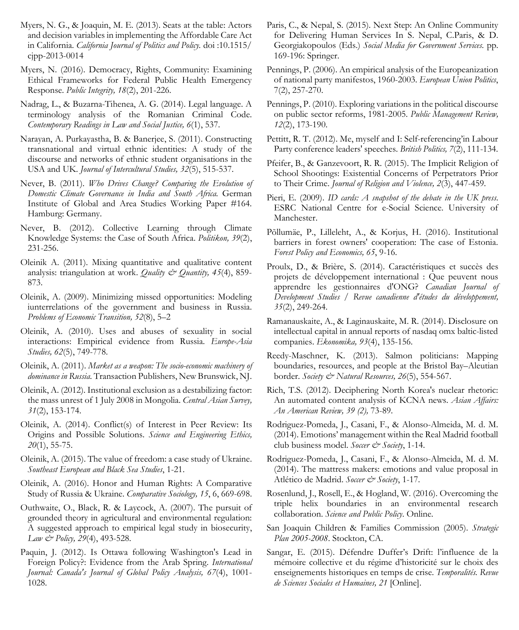- Myers, N. G., & Joaquin, M. E. (2013). Seats at the table: Actors and decision variables in implementing the Affordable Care Act in California. *California Journal of Politics and Policy.* doi :10.1515/ cjpp-2013-0014
- Myers, N. (2016). Democracy, Rights, Community: Examining Ethical Frameworks for Federal Public Health Emergency Response. *Public Integrity, 18*(2), 201-226.
- Nadrag, L., & Buzarna-Tihenea, A. G. (2014). Legal language. A terminology analysis of the Romanian Criminal Code. *Contemporary Readings in Law and Social Justice, 6*(1), 537.
- Narayan, A. Purkayastha, B. & Banerjee, S. (2011). Constructing transnational and virtual ethnic identities: A study of the discourse and networks of ethnic student organisations in the USA and UK. *Journal of Intercultural Studies, 32*(5), 515-537.
- Never, B. (2011). *Who Drives Change? Comparing the Evolution of Domestic Climate Governance in India and South Africa.* German Institute of Global and Area Studies Working Paper #164. Hamburg: Germany.
- Never, B. (2012). Collective Learning through Climate Knowledge Systems: the Case of South Africa. *Politikon, 39*(2), 231-256.
- Oleinik A. (2011). Mixing quantitative and qualitative content analysis: triangulation at work. *Quality & Quantity, 45*(4), 859- 873.
- Oleinik, A. (2009). Minimizing missed opportunities: Modeling iunterrelations of the government and business in Russia. *Problems of Economic Transition, 52*(8), 5–2
- Oleinik, A. (2010). Uses and abuses of sexuality in social interactions: Empirical evidence from Russia. *Europe-Asia Studies, 62*(5), 749-778.
- Oleinik, A. (2011). *Market as a weapon: The socio-economic machinery of dominance in Russia.* Transaction Publishers, New Brunswick, NJ.
- Oleinik, A. (2012). Institutional exclusion as a destabilizing factor: the mass unrest of 1 July 2008 in Mongolia. *Central Asian Survey, 31*(2), 153-174.
- Oleinik, A. (2014). Conflict(s) of Interest in Peer Review: Its Origins and Possible Solutions. *Science and Engineering Ethics, 20*(1), 55-75.
- Oleinik, A. (2015). The value of freedom: a case study of Ukraine. *Southeast European and Black Sea Studies*, 1-21.
- Oleinik, A. (2016). Honor and Human Rights: A Comparative Study of Russia & Ukraine. *Comparative Sociology, 15*, 6, 669-698.
- Outhwaite, O., Black, R. & Laycock, A. (2007). The pursuit of grounded theory in agricultural and environmental regulation: A suggested approach to empirical legal study in biosecurity, *Law & Policy, 29*(4), 493-528.
- Paquin, J. (2012). Is Ottawa following Washington's Lead in Foreign Policy?: Evidence from the Arab Spring. *International Journal: Canada's Journal of Global Policy Analysis, 67*(4), 1001- 1028.
- Paris, C., & Nepal, S. (2015). Next Step: An Online Community for Delivering Human Services In S. Nepal, C.Paris, & D. Georgiakopoulos (Eds.) *Social Media for Government Services.* pp. 169-196: Springer.
- Pennings, P. (2006). An empirical analysis of the Europeanization of national party manifestos, 1960-2003. *European Union Politics*, 7(2), 257-270.
- Pennings, P. (2010). Exploring variations in the political discourse on public sector reforms, 1981-2005. *Public Management Review, 12*(2), 173-190.
- Pettitt, R. T. (2012). Me, myself and I: Self-referencing'in Labour Party conference leaders' speeches. *British Politics, 7*(2), 111-134.
- Pfeifer, B., & Ganzevoort, R. R. (2015). The Implicit Religion of School Shootings: Existential Concerns of Perpetrators Prior to Their Crime. *Journal of Religion and Violence, 2*(3), 447-459*.*
- Pieri, E. (2009). *ID cards: A snapshot of the debate in the UK press*. ESRC National Centre for e-Social Science. University of Manchester.
- Põllumäe, P., Lilleleht, A., & Korjus, H. (2016). Institutional barriers in forest owners' cooperation: The case of Estonia. *Forest Policy and Economics, 65*, 9-16.
- Proulx, D., & Brière, S. (2014). Caractéristiques et succès des projets de développement international : Que peuvent nous apprendre les gestionnaires d'ONG? *Canadian Journal of Development Studies / Revue canadienne d'études du développement, 35*(2), 249-264.
- Ramanauskaite, A., & Laginauskaite, M. R. (2014). Disclosure on intellectual capital in annual reports of nasdaq omx baltic-listed companies. *Ekonomika, 93*(4), 135-156.
- Reedy-Maschner, K. (2013). Salmon politicians: Mapping boundaries, resources, and people at the Bristol Bay–Aleutian border. *Society & Natural Resources, 26*(5), 554-567.
- Rich, T.S. (2012). Deciphering North Korea's nuclear rhetoric: An automated content analysis of KCNA news. *Asian Affairs: An American Review, 39 (2),* 73-89.
- Rodriguez-Pomeda, J., Casani, F., & Alonso-Almeida, M. d. M. (2014). Emotions' management within the Real Madrid football club business model. *Soccer & Society*, 1-14.
- Rodriguez-Pomeda, J., Casani, F., & Alonso-Almeida, M. d. M. (2014). The mattress makers: emotions and value proposal in Atlético de Madrid. *Soccer & Society*, 1-17.
- Rosenlund, J., Rosell, E., & Hogland, W. (2016). Overcoming the triple helix boundaries in an environmental research collaboration. *Science and Public Policy*. Online.
- San Joaquin Children & Families Commission (2005). *Strategic Plan 2005-2008*. Stockton, CA.
- Sangar, E. (2015). Défendre Duffer's Drift: l'influence de la mémoire collective et du régime d'historicité sur le choix des enseignements historiques en temps de crise. *Temporalités. Revue de Sciences Sociales et Humaines, 21* [Online].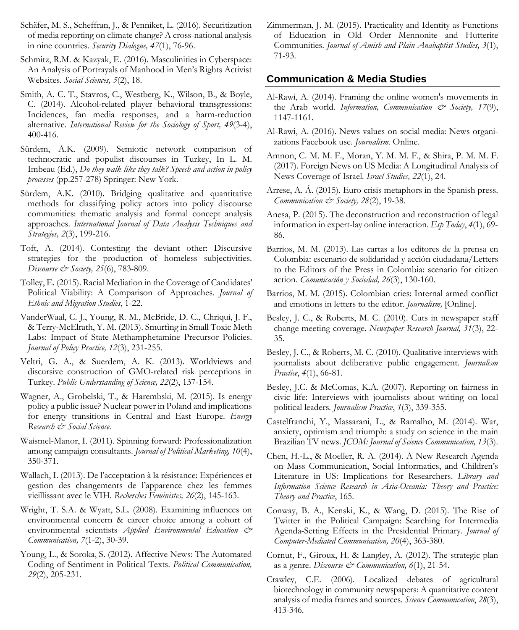- Schäfer, M. S., Scheffran, J., & Penniket, L. (2016). Securitization of media reporting on climate change? A cross-national analysis in nine countries. *Security Dialogue, 47*(1), 76-96.
- Schmitz, R.M. & Kazyak, E. (2016). Masculinities in Cyberspace: An Analysis of Portrayals of Manhood in Men's Rights Activist Websites*. Social Sciences, 5*(2), 18.
- Smith, A. C. T., Stavros, C., Westberg, K., Wilson, B., & Boyle, C. (2014). Alcohol-related player behavioral transgressions: Incidences, fan media responses, and a harm-reduction alternative. *International Review for the Sociology of Sport, 49*(3-4), 400-416.
- Sürdem, A.K. (2009). Semiotic network comparison of technocratic and populist discourses in Turkey, In L. M. Imbeau (Ed.), *Do they walk like they talk? Speech and action in policy processes* (pp.257-278) Springer: New York.
- Sürdem, A.K. (2010). Bridging qualitative and quantitative methods for classifying policy actors into policy discourse communities: thematic analysis and formal concept analysis approaches. *International Journal of Data Analysis Techniques and Strategies, 2*(3), 199-216.
- Toft, A. (2014). Contesting the deviant other: Discursive strategies for the production of homeless subjectivities. *Discourse & Society, 25*(6), 783-809.
- Tolley, E. (2015). Racial Mediation in the Coverage of Candidates' Political Viability: A Comparison of Approaches. *Journal of Ethnic and Migration Studies*, 1-22.
- VanderWaal, C. J., Young, R. M., McBride, D. C., Chriqui, J. F., & Terry-McElrath, Y. M. (2013). Smurfing in Small Toxic Meth Labs: Impact of State Methamphetamine Precursor Policies. *Journal of Policy Practice, 12*(3), 231-255.
- Veltri, G. A., & Suerdem, A. K. (2013). Worldviews and discursive construction of GMO-related risk perceptions in Turkey. *Public Understanding of Science, 22*(2), 137-154.
- Wagner, A., Grobelski, T., & Harembski, M. (2015). Is energy policy a public issue? Nuclear power in Poland and implications for energy transitions in Central and East Europe. *Energy Research & Social Science*.
- Waismel-Manor, I. (2011). Spinning forward: Professionalization among campaign consultants. *Journal of Political Marketing, 10*(4), 350-371.
- Wallach, I. (2013). De l'acceptation à la résistance: Expériences et gestion des changements de l'apparence chez les femmes vieillissant avec le VIH. *Recherches Feministes, 26*(2), 145-163.
- Wright, T. S.A. & Wyatt, S.L. (2008). Examining influences on environmental concern & career choice among a cohort of environmental scientists *Applied Environmental Education & Communication, 7*(1-2), 30-39.
- Young, L., & Soroka, S. (2012). Affective News: The Automated Coding of Sentiment in Political Texts. *Political Communication, 29*(2), 205-231.

Zimmerman, J. M. (2015). Practicality and Identity as Functions of Education in Old Order Mennonite and Hutterite Communities. *Journal of Amish and Plain Anabaptist Studies, 3*(1), 71-93.

### **Communication & Media Studies**

- Al-Rawi, A. (2014). Framing the online women's movements in the Arab world. *Information, Communication*  $\dot{\mathcal{C}}$  *Society, 17(9)*, 1147-1161.
- Al-Rawi, A. (2016). News values on social media: News organizations Facebook use. *Journalism.* Online.
- Amnon, C. M. M. F., Moran, Y. M. M. F., & Shira, P. M. M. F. (2017). Foreign News on US Media: A Longitudinal Analysis of News Coverage of Israel*. Israel Studies, 22*(1), 24.
- Arrese, A. Á. (2015). Euro crisis metaphors in the Spanish press. *Communication & Society, 28*(2), 19-38.
- Anesa, P. (2015). The deconstruction and reconstruction of legal information in expert-lay online interaction. *Esp Today*, *4*(1), 69- 86.
- Barrios, M. M. (2013). Las cartas a los editores de la prensa en Colombia: escenario de solidaridad y acción ciudadana/Letters to the Editors of the Press in Colombia: scenario for citizen action. *Comunicación y Sociedad, 26*(3), 130-160.
- Barrios, M. M. (2015). Colombian cries: Internal armed conflict and emotions in letters to the editor. *Journalism,* [Online].
- Besley, J. C., & Roberts, M. C. (2010). Cuts in newspaper staff change meeting coverage. *Newspaper Research Journal, 31*(3), 22- 35.
- Besley, J. C., & Roberts, M. C. (2010). Qualitative interviews with journalists about deliberative public engagement*. Journalism Practice*, *4*(1), 66-81.
- Besley, J.C. & McComas, K.A. (2007). Reporting on fairness in civic life: Interviews with journalists about writing on local political leaders*. Journalism Practice*, *1*(3), 339-355.
- Castelfranchi, Y., Massarani, L., & Ramalho, M. (2014). War, anxiety, optimism and triumph: a study on science in the main Brazilian TV news. *JCOM: Journal of Science Communication, 13*(3).
- Chen, H.-L., & Moeller, R. A. (2014). A New Research Agenda on Mass Communication, Social Informatics, and Children's Literature in US: Implications for Researchers. *Library and Information Science Research in Asia-Oceania: Theory and Practice: Theory and Practice*, 165.
- Conway, B. A., Kenski, K., & Wang, D. (2015). The Rise of Twitter in the Political Campaign: Searching for Intermedia Agenda-Setting Effects in the Presidential Primary. *Journal of Computer-Mediated Communication, 20*(4), 363-380.
- Cornut, F., Giroux, H. & Langley, A. (2012). The strategic plan as a genre. *Discourse & Communication, 6*(1), 21-54.
- Crawley, C.E. (2006). Localized debates of agricultural biotechnology in community newspapers: A quantitative content analysis of media frames and sources. *Science Communication*, *28*(3), 413-346.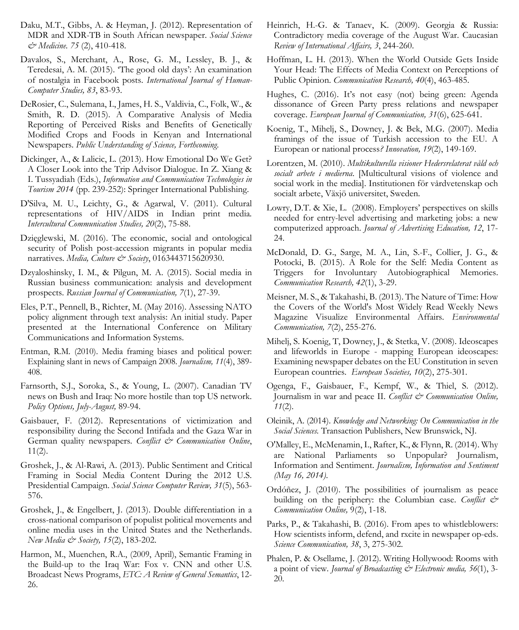- Daku, M.T., Gibbs, A. & Heyman, J. (2012). Representation of MDR and XDR-TB in South African newspaper. *Social Science & Medicine. 75* (2), 410-418.
- Davalos, S., Merchant, A., Rose, G. M., Lessley, B. J., & Teredesai, A. M. (2015). 'The good old days': An examination of nostalgia in Facebook posts. *International Journal of Human-Computer Studies, 83*, 83-93.
- DeRosier, C., Sulemana, I., James, H. S., Valdivia, C., Folk, W., & Smith, R. D. (2015). A Comparative Analysis of Media Reporting of Perceived Risks and Benefits of Genetically Modified Crops and Foods in Kenyan and International Newspapers. *Public Understanding of Science, Forthcoming*.
- Dickinger, A., & Lalicic, L. (2013). How Emotional Do We Get? A Closer Look into the Trip Advisor Dialogue. In Z. Xiang & I. Tussyadiah (Eds.), *Information and Communication Technologies in Tourism 2014* (pp. 239-252): Springer International Publishing.
- D'Silva, M. U., Leichty, G., & Agarwal, V. (2011). Cultural representations of HIV/AIDS in Indian print media*. Intercultural Communication Studies, 20*(2), 75-88.
- Dzięglewski, M. (2016). The economic, social and ontological security of Polish post-accession migrants in popular media narratives. *Media, Culture & Society*, 0163443715620930.
- Dzyaloshinsky, I. M., & Pilgun, M. A. (2015). Social media in Russian business communication: analysis and development prospects. *Russian Journal of Communication, 7*(1), 27-39.
- Eles, P.T., Pennell, B., Richter, M. (May 2016). Assessing NATO policy alignment through text analysis: An initial study. Paper presented at the International Conference on Military Communications and Information Systems.
- Entman, R.M. (2010). Media framing biases and political power: Explaining slant in news of Campaign 2008. *Journalism, 11*(4), 389- 408.
- Farnsorth, S.J., Soroka, S., & Young, L. (2007). Canadian TV news on Bush and Iraq: No more hostile than top US network. *Policy Options, July-August,* 89-94.
- Gaisbauer, F. (2012). Representations of victimization and responsibility during the Second Intifada and the Gaza War in German quality newspapers. *Conflict & Communication Online*,  $11(2)$ .
- Groshek, J., & Al-Rawi, A. (2013). Public Sentiment and Critical Framing in Social Media Content During the 2012 U.S. Presidential Campaign. *Social Science Computer Review, 31*(5), 563- 576.
- Groshek, J., & Engelbert, J. (2013). Double differentiation in a cross-national comparison of populist political movements and online media uses in the United States and the Netherlands. *New Media & Society, 15*(2), 183-202.
- Harmon, M., Muenchen, R.A., (2009, April), Semantic Framing in the Build-up to the Iraq War: Fox v. CNN and other U.S. Broadcast News Programs, *ETC: A Review of General Semantics*, 12- 26.
- Heinrich, H.-G. & Tanaev, K. (2009). Georgia & Russia: Contradictory media coverage of the August War. Caucasian *Review of International Affairs, 3*, 244-260.
- Hoffman, L. H. (2013). When the World Outside Gets Inside Your Head: The Effects of Media Context on Perceptions of Public Opinion. *Communication Research, 40*(4), 463-485.
- Hughes, C. (2016). It's not easy (not) being green: Agenda dissonance of Green Party press relations and newspaper coverage. *European Journal of Communication, 31*(6), 625-641.
- Koenig, T., Mihelj, S., Downey, J. & Bek, M.G. (2007). Media framings of the issue of Turkish accession to the EU. A European or national process*? Innovation, 19*(2), 149-169.
- Lorentzen, M. (2010). *Multikulturella visioner Hedersrelaterat våld och socialt arbete i medierna*. [Multicultural visions of violence and social work in the media]. Institutionen för vårdvetenskap och socialt arbete, Växjö universitet, Sweden.
- Lowry, D.T. & Xie, L. (2008). Employers' perspectives on skills needed for entry-level advertising and marketing jobs: a new computerized approach. *Journal of Advertising Education, 12*, 17- 24.
- McDonald, D. G., Sarge, M. A., Lin, S.-F., Collier, J. G., & Potocki, B. (2015). A Role for the Self: Media Content as Triggers for Involuntary Autobiographical Memories. *Communication Research, 42*(1), 3-29.
- Meisner, M. S., & Takahashi, B. (2013). The Nature of Time: How the Covers of the World's Most Widely Read Weekly News Magazine Visualize Environmental Affairs. *Environmental Communication, 7*(2), 255-276.
- Mihelj, S. Koenig, T, Downey, J., & Stetka, V. (2008). Ideoscapes and lifeworlds in Europe - mapping European ideoscapes: Examining newspaper debates on the EU Constitution in seven European countries*. European Societies, 10*(2), 275-301.
- Ogenga, F., Gaisbauer, F., Kempf, W., & Thiel, S. (2012). Journalism in war and peace II. *Conflict & Communication Online, 11*(2).
- Oleinik, A. (2014). *Knowledge and Networking: On Communication in the Social Sciences.* Transaction Publishers, New Brunswick, NJ.
- O'Malley, E., McMenamin, I., Rafter, K., & Flynn, R. (2014). Why are National Parliaments so Unpopular? Journalism, Information and Sentiment. *Journalism, Information and Sentiment (May 16, 2014)*.
- Ordóñez, J. (2010). The possibilities of journalism as peace building on the periphery: the Columbian case. *Conflict & Communication Online,* 9(2), 1-18.
- Parks, P., & Takahashi, B. (2016). From apes to whistleblowers: How scientists inform, defend, and rxcite in newspaper op-eds. *Science Communication, 38*, 3, 275-302.
- Phalen, P. & Osellame, J. (2012). Writing Hollywood: Rooms with a point of view. *Journal of Broadcasting & Electronic media, 56*(1), 3- 20.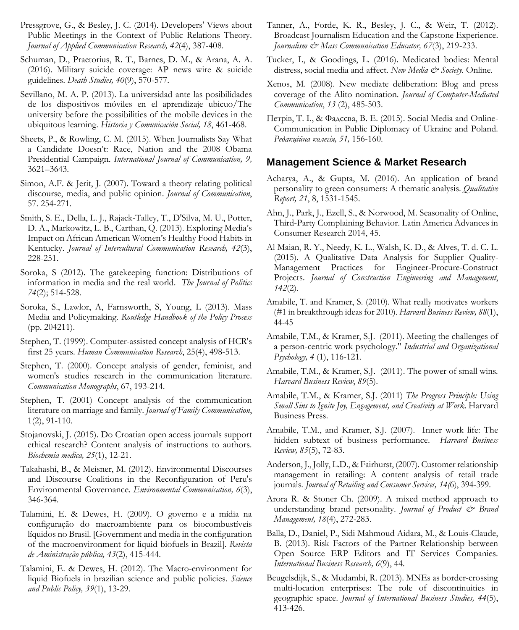- Pressgrove, G., & Besley, J. C. (2014). Developers' Views about Public Meetings in the Context of Public Relations Theory. *Journal of Applied Communication Research, 42*(4), 387-408.
- Schuman, D., Praetorius, R. T., Barnes, D. M., & Arana, A. A. (2016). Military suicide coverage: AP news wire & suicide guidelines. *Death Studies, 40*(9), 570-577.
- Sevillano, M. A. P. (2013). La universidad ante las posibilidades de los dispositivos móviles en el aprendizaje ubicuo/The university before the possibilities of the mobile devices in the ubiquitous learning. *Historia y Comunicación Social, 18*, 461-468.
- Sheets, P., & Rowling, C. M. (2015). When Journalists Say What a Candidate Doesn't: Race, Nation and the 2008 Obama Presidential Campaign. *International Journal of Communication, 9,* 3621–3643.
- Simon, A.F. & Jerit, J. (2007). Toward a theory relating political discourse, media, and public opinion. *Journal of Communication*, 57. 254-271.
- Smith, S. E., Della, L. J., Rajack-Talley, T., D'Silva, M. U., Potter, D. A., Markowitz, L. B., Carthan, Q. (2013). Exploring Media's Impact on African American Women's Healthy Food Habits in Kentucky. *Journal of Intercultural Communication Research, 42*(3), 228-251.
- Soroka, S (2012). The gatekeeping function: Distributions of information in media and the real world. *The Journal of Politics 74*(2); 514-528.
- Soroka, S., Lawlor, A, Farnsworth, S, Young, L (2013). Mass Media and Policymaking. *Routledge Handbook of the Policy Process* (pp. 204211).
- Stephen, T. (1999). Computer-assisted concept analysis of HCR's first 25 years. *Human Communication Research*, 25(4), 498-513.
- Stephen, T. (2000). Concept analysis of gender, feminist, and women's studies research in the communication literature. *Communication Monographs*, 67, 193-214.
- Stephen, T. (2001) Concept analysis of the communication literature on marriage and family. *Journal of Family Communication*, 1(2), 91-110.
- Stojanovski, J. (2015). Do Croatian open access journals support ethical research? Content analysis of instructions to authors. *Biochemia medica, 25*(1), 12-21.
- Takahashi, B., & Meisner, M. (2012). Environmental Discourses and Discourse Coalitions in the Reconfiguration of Peru's Environmental Governance. *Environmental Communication, 6*(3), 346-364.
- Talamini, E. & Dewes, H. (2009). O governo e a mídia na configuração do macroambiente para os biocombustíveis líquidos no Brasil. [Government and media in the configuration of the macroenvironment for liquid biofuels in Brazil]. *Revista de Aministração pública, 43*(2), 415-444.
- Talamini, E. & Dewes, H. (2012). The Macro-environment for liquid Biofuels in brazilian science and public policies. *Science and Public Policy, 39*(1), 13-29.
- Tanner, A., Forde, K. R., Besley, J. C., & Weir, T. (2012). Broadcast Journalism Education and the Capstone Experience. *Journalism & Mass Communication Educator, 67*(3), 219-233.
- Tucker, I., & Goodings, L. (2016). Medicated bodies: Mental distress, social media and affect. *New Media & Society.* Online.
- Xenos, M. (2008). New mediate deliberation: Blog and press coverage of the Alito nomination. *Journal of Computer-Mediated Communication*, *13* (2), 485-503.
- Петрів, Т. І., & Фадєєва, В. Е. (2015). Social Media and Online-Communication in Public Diplomacy of Ukraine and Poland*. Редакційна колегія, 51,* 156-160.

### **Management Science & Market Research**

- Acharya, A., & Gupta, M. (2016). An application of brand personality to green consumers: A thematic analysis. *Qualitative Report, 21*, 8, 1531-1545.
- Ahn, J., Park, J., Ezell, S., & Norwood, M. Seasonality of Online, Third-Party Complaining Behavior. Latin America Advances in Consumer Research 2014, 45.
- Al Maian, R. Y., Needy, K. L., Walsh, K. D., & Alves, T. d. C. L. (2015). A Qualitative Data Analysis for Supplier Quality-Management Practices for Engineer-Procure-Construct Projects. *Journal of Construction Engineering and Management*, *142*(2).
- Amabile, T. and Kramer, S. (2010). What really motivates workers (#1 in breakthrough ideas for 2010). *Harvard Business Review, 88*(1), 44-45
- Amabile, T.M., & Kramer, S.J. (2011). Meeting the challenges of a person-centric work psychology." *Industrial and Organizational Psychology, 4* (1), 116-121.
- Amabile, T.M., & Kramer, S.J. (2011). The power of small wins*. Harvard Business Review*, *89*(5).
- Amabile, T.M., & Kramer, S.J. (2011) *The Progress Principle: Using Small Sins to Ignite Joy, Engagement, and Creativity at Work*. Harvard Business Press.
- Amabile, T.M., and Kramer, S.J. (2007). Inner work life: The hidden subtext of business performance. *Harvard Business Review, 85*(5), 72-83.
- Anderson, J., Jolly, L.D., & Fairhurst, (2007). Customer relationship management in retailing: A content analysis of retail trade journals. *Journal of Retailing and Consumer Services, 14(*6), 394-399.
- Arora R. & Stoner Ch. (2009). A mixed method approach to understanding brand personality. *Journal of Product & Brand Management, 18*(4), 272-283.
- Balla, D., Daniel, P., Sidi Mahmoud Aidara, M., & Louis-Claude, B. (2013). Risk Factors of the Partner Relationship between Open Source ERP Editors and IT Services Companies. *International Business Research, 6*(9), 44.
- Beugelsdijk, S., & Mudambi, R. (2013). MNEs as border-crossing multi-location enterprises: The role of discontinuities in geographic space. *Journal of International Business Studies, 44*(5), 413-426.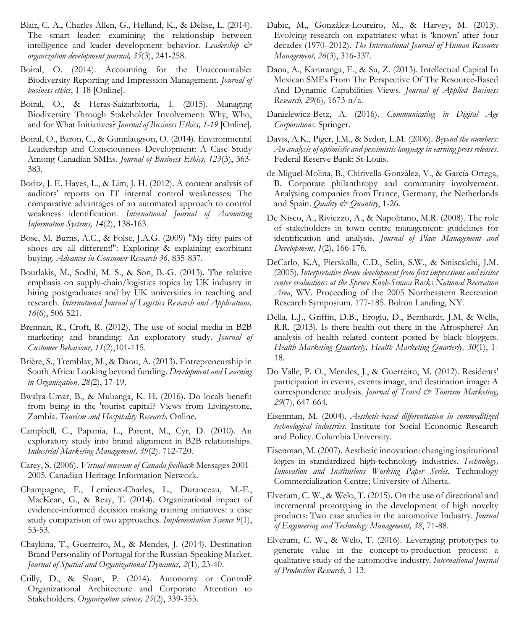- Blair, C. A., Charles Allen, G., Helland, K., & Delise, L. (2014). The smart leader: examining the relationship between intelligence and leader development behavior. *Leadership & organization development journal, 35*(3), 241-258.
- Boiral, O. (2014). Accounting for the Unaccountable: Biodiversity Reporting and Impression Management. *Journal of business ethics*, 1-18 [Online].
- Boiral, O., & Heras-Saizarbitoria, I. (2015). Managing Biodiversity Through Stakeholder Involvement: Why, Who, and for What Initiatives? *Journal of Business Ethics, 1-19* [Online]*.*
- Boiral, O., Baron, C., & Gunnlaugson, O. (2014). Environmental Leadership and Consciousness Development: A Case Study Among Canadian SMEs. *Journal of Business Ethics, 123*(3), 363- 383.
- Boritz, J. E. Hayes, L., & Lim, J. H. (2012). A content analysis of auditors' reports on IT internal control weaknesses: The comparative advantages of an automated approach to control weakness identification. *International Journal of Accounting Information Systems, 14*(2), 138-163.
- Bose, M. Burns, A.C., & Folse, J.A.G. (2009) ″My fifty pairs of shoes are all different!″: Exploring & explaining exorbitant buying. *Advances in Consumer Research 36*, 835-837.
- Bourlakis, M., Sodhi, M. S., & Son, B.-G. (2013). The relative emphasis on supply-chain/logistics topics by UK industry in hiring postgraduates and by UK universities in teaching and research. *International Journal of Logistics Research and Applications, 16*(6), 506-521.
- Brennan, R., Croft, R. (2012). The use of social media in B2B marketing and branding: An exploratory study. *Journal of Customer Behaviour, 11*(2),101-115.
- Brière, S., Tremblay, M., & Daou, A. (2013). Entrepreneurship in South Africa: Looking beyond funding. *Development and Learning in Organization, 28(*2), 17-19.
- Bwalya-Umar, B., & Mubanga, K. H. (2016). Do locals benefit from being in the 'tourist capital? Views from Livingstone, Zambia. *Tourism and Hospitality Research*. Online.
- Campbell, C., Papania, L., Parent, M., Cyr, D. (2010). An exploratory study into brand alignment in B2B relationships. *Industrial Marketing Management, 39*(2). 712-720.
- Carey, S. (2006). *Virtual museum of Canada feedback* Messages 2001- 2005. Canadian Heritage Information Network.
- Champagne, F., Lemieux-Charles, L., Duranceau, M.-F., MacKean, G., & Reay, T. (2014). Organizational impact of evidence-informed decision making training initiatives: a case study comparison of two approaches. *Implementation Science 9*(1), 53-53.
- Chaykina, T., Guerreiro, M., & Mendes, J. (2014). Destination Brand Personality of Portugal for the Russian-Speaking Market. *Journal of Spatial and Organizational Dynamics, 2*(1), 23-40.
- Crilly, D., & Sloan, P. (2014). Autonomy or Control? Organizational Architecture and Corporate Attention to Stakeholders. *Organization science, 25*(2), 339-355.
- Dabic, M., González-Loureiro, M., & Harvey, M. (2013). Evolving research on expatriates: what is 'known' after four decades (1970–2012). *The International Journal of Human Resource Management, 26*(3), 316-337.
- Daou, A., Karuranga, E., & Su, Z. (2013). Intellectual Capital In Mexican SMEs From The Perspective Of The Resource-Based And Dynamic Capabilities Views. *Journal of Applied Business Research, 29*(6), 1673-n/a.
- Danielewicz-Betz, A. (2016). *Communicating in Digital Age Corporations.* Springer.
- Davis, A.K., Piger, J.M., & Sedor, L.M. (2006). *Beyond the numbers: An analysis of optimistic and pessimistic language in earning press releases*. Federal Reserve Bank: St-Louis.
- de-Miguel-Molina, B., Chirivella-González, V., & García-Ortega, B. Corporate philanthropy and community involvement. Analysing companies from France, Germany, the Netherlands and Spain. *Quality & Quantity*, 1-26.
- De Nisco, A., Riviezzo, A., & Napolitano, M.R. (2008). The role of stakeholders in town centre management: guidelines for identification and analysis. *Journal of Place Management and Development, 1*(2), 166-176.
- DeCarlo, K.A, Pierskalla, C.D., Selin, S.W., & Siniscalchi, J.M. (2005). *Interpretative theme development from first impressions and visitor center evaluations at the Spruce Knob-Senaca Rocks National Recreation Area*, WV. Proceeding of the 2005 Northeastern Recreation Research Symposium. 177-185. Bolton Landing, NY.
- Della, L.J., Griffin, D.B., Eroglu, D., Bernhardt, J.M, & Wells, R.R. (2013). Is there health out there in the Afrosphere? An analysis of health related content posted by black bloggers. *Health Marketing Quarterly, Health Marketing Quarterly, 30*(1), 1- 18.
- Do Valle, P. O., Mendes, J., & Guerreiro, M. (2012). Residents' participation in events, events image, and destination image: A correspondence analysis. *Journal of Travel & Tourism Marketing*, *29*(7), 647-664.
- Eisenman, M. (2004). *Aesthetic-based differentiation in commoditized technological industries.* Institute for Social Economic Research and Policy. Columbia University.
- Eisenman, M. (2007). Aesthetic innovation: changing institutional logics in standardized high-technology industries. *Technology, Innovation and Institutions Working Paper Series.* Technology Commercialization Centre; University of Alberta.
- Elverum, C. W., & Welo, T. (2015). On the use of directional and incremental prototyping in the development of high novelty products: Two case studies in the automotive Industry. *Journal of Engineering and Technology Management, 38*, 71-88.
- Elverum, C. W., & Welo, T. (2016). Leveraging prototypes to generate value in the concept-to-production process: a qualitative study of the automotive industry. *International Journal of Production Research*, 1-13.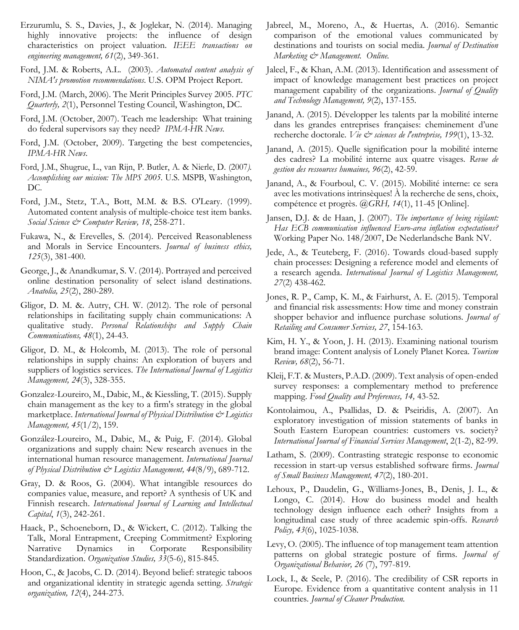- Erzurumlu, S. S., Davies, J., & Joglekar, N. (2014). Managing highly innovative projects: the influence of design characteristics on project valuation. *IEEE transactions on engineering management, 61*(2), 349-361.
- Ford, J.M. & Roberts, A.L. (2003). *Automated content analysis of NIMA's promotion recommendations*. U.S. OPM Project Report.
- Ford, J.M. (March, 2006). The Merit Principles Survey 2005. *PTC Quarterly, 2*(1), Personnel Testing Council, Washington, DC.
- Ford, J.M. (October, 2007). Teach me leadership: What training do federal supervisors say they need? *IPMA-HR News.*
- Ford, J.M. (October, 2009). Targeting the best competencies, *IPMA-HR News*.
- Ford, J.M., Shugrue, L., van Rijn, P. Butler, A. & Nierle, D. (2007*). Accomplishing our mission: The MPS 2005*. U.S. MSPB, Washington, DC.
- Ford, J.M., Stetz, T.A., Bott, M.M. & B.S. O'Leary. (1999). Automated content analysis of multiple-choice test item banks. *Social Science & Computer Review, 18*, 258-271.
- Fukawa, N., & Erevelles, S. (2014). Perceived Reasonableness and Morals in Service Encounters. *Journal of business ethics, 125*(3), 381-400.
- George, J., & Anandkumar, S. V. (2014). Portrayed and perceived online destination personality of select island destinations. *Anatolia, 25*(2), 280-289.
- Gligor, D. M. &. Autry, CH. W. (2012). The role of personal relationships in facilitating supply chain communications: A qualitative study. *Personal Relationships and Supply Chain Communications, 48*(1), 24-43.
- Gligor, D. M., & Holcomb, M. (2013). The role of personal relationships in supply chains: An exploration of buyers and suppliers of logistics services. *The International Journal of Logistics Management, 24*(3), 328-355.
- Gonzalez-Loureiro, M., Dabic, M., & Kiessling, T. (2015). Supply chain management as the key to a firm's strategy in the global marketplace. *International Journal of Physical Distribution & Logistics Management, 45*(1/2), 159.
- González-Loureiro, M., Dabic, M., & Puig, F. (2014). Global organizations and supply chain: New research avenues in the international human resource management. *International Journal of Physical Distribution & Logistics Management, 44*(8/9), 689-712.
- Gray, D. & Roos, G. (2004). What intangible resources do companies value, measure, and report? A synthesis of UK and Finnish research. *International Journal of Learning and Intellectual Capital*, *1*(3), 242-261.
- Haack, P., Schoeneborn, D., & Wickert, C. (2012). Talking the Talk, Moral Entrapment, Creeping Commitment? Exploring Narrative Dynamics in Corporate Responsibility Standardization. *Organization Studies, 33*(5-6), 815-845.
- Hoon, C., & Jacobs, C. D. (2014). Beyond belief: strategic taboos and organizational identity in strategic agenda setting. *Strategic organization, 12*(4), 244-273.
- Jabreel, M., Moreno, A., & Huertas, A. (2016). Semantic comparison of the emotional values communicated by destinations and tourists on social media. *Journal of Destination Marketing & Management. Online.*
- Jaleel, F., & Khan, A.M. (2013). Identification and assessment of impact of knowledge management best practices on project management capability of the organizations. *Journal of Quality and Technology Management, 9*(2), 137-155.
- Janand, A. (2015). Développer les talents par la mobilité interne dans les grandes entreprises françaises: cheminement d'une recherche doctorale. Vie & sciences de l'entreprise, 199(1), 13-32.
- Janand, A. (2015). Quelle signification pour la mobilité interne des cadres? La mobilité interne aux quatre visages. *Revue de gestion des ressources humaines, 96*(2), 42-59.
- Janand, A., & Fourboul, C. V. (2015). Mobilité interne: ce sera avec les motivations intrinsèques! À la recherche de sens, choix, compétence et progrès. @*GRH, 14*(1), 11-45 [Online].
- Jansen, D.J. & de Haan, J. (2007). *The importance of being vigilant: Has ECB communication influenced Euro-area inflation expectations?*  Working Paper No. 148/2007, De Nederlandsche Bank NV.
- Jede, A., & Teuteberg, F. (2016). Towards cloud-based supply chain processes: Designing a reference model and elements of a research agenda. *International Journal of Logistics Management, 27*(2) 438-462.
- Jones, R. P., Camp, K. M., & Fairhurst, A. E. (2015). Temporal and financial risk assessments: How time and money constrain shopper behavior and influence purchase solutions*. Journal of Retailing and Consumer Services, 27*, 154-163.
- Kim, H. Y., & Yoon, J. H. (2013). Examining national tourism brand image: Content analysis of Lonely Planet Korea. *Tourism Review, 68*(2), 56-71.
- Kleij, F.T. & Musters, P.A.D. (2009). Text analysis of open-ended survey responses: a complementary method to preference mapping. *Food Quality and Preferences, 14,* 43-52.
- Kontolaimou, A., Psallidas, D. & Pseiridis, A. (2007). An exploratory investigation of mission statements of banks in South Eastern European countries: customers vs. society? *International Journal of Financial Services Management*, 2(1-2), 82-99.
- Latham, S. (2009). Contrasting strategic response to economic recession in start-up versus established software firms. *Journal of Small Business Management, 47*(2), 180-201.
- Lehoux, P., Daudelin, G., Williams-Jones, B., Denis, J. L., & Longo, C. (2014). How do business model and health technology design influence each other? Insights from a longitudinal case study of three academic spin-offs. *Research Policy, 43*(6), 1025-1038.
- Levy, O. (2005). The influence of top management team attention patterns on global strategic posture of firms. *Journal of Organizational Behavior, 26* (7), 797-819.
- Lock, I., & Seele, P. (2016). The credibility of CSR reports in Europe. Evidence from a quantitative content analysis in 11 countries*. Journal of Cleaner Production.*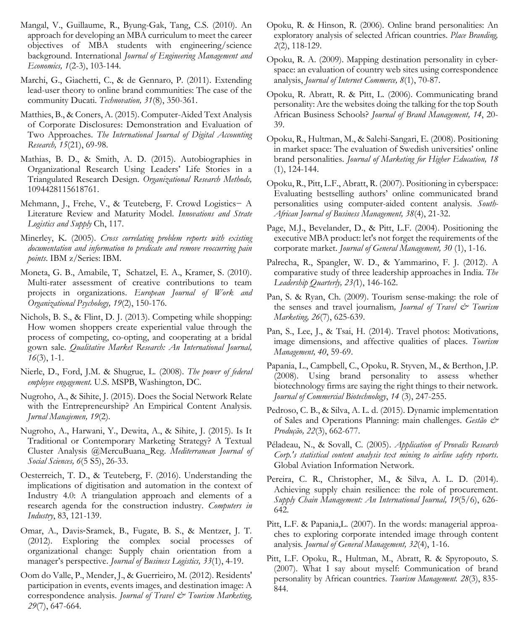- Mangal, V., Guillaume, R., Byung-Gak, Tang, C.S. (2010). An approach for developing an MBA curriculum to meet the career objectives of MBA students with engineering/science background. International *Journal of Engineering Management and Economics, 1*(2-3), 103-144.
- Marchi, G., Giachetti, C., & de Gennaro, P. (2011). Extending lead-user theory to online brand communities: The case of the community Ducati. *Technovation, 31*(8), 350-361.
- Matthies, B., & Coners, A. (2015). Computer-Aided Text Analysis of Corporate Disclosures: Demonstration and Evaluation of Two Approaches. *The International Journal of Digital Accounting Research, 15*(21), 69-98.
- Mathias, B. D., & Smith, A. D. (2015). Autobiographies in Organizational Research Using Leaders' Life Stories in a Triangulated Research Design. *Organizational Research Methods,* 1094428115618761.
- Mehmann, J., Frehe, V., & Teuteberg, F. Crowd Logistics− A Literature Review and Maturity Model. *Innovations and Strate Logistics and Supply* Ch, 117.
- Minerley, K. (2005). *Cross correlating problem reports with existing documentation and information to predicate and remove reoccurring pain points*. IBM z/Series: IBM.
- Moneta, G. B., Amabile, T, Schatzel, E. A., Kramer, S. (2010). Multi-rater assessment of creative contributions to team projects in organizations. *European Journal of Work and Organizational Psychology, 19*(2), 150-176.
- Nichols, B. S., & Flint, D. J. (2013). Competing while shopping: How women shoppers create experiential value through the process of competing, co-opting, and cooperating at a bridal gown sale. *Qualitative Market Research: An International Journal, 16*(3), 1-1.
- Nierle, D., Ford, J.M. & Shugrue, L. (2008). *The power of federal employee engagement.* U.S. MSPB, Washington, DC.
- Nugroho, A., & Sihite, J. (2015). Does the Social Network Relate with the Entrepreneurship? An Empirical Content Analysis. *Jurnal Manajemen, 19*(2).
- Nugroho, A., Harwani, Y., Dewita, A., & Sihite, J. (2015). Is It Traditional or Contemporary Marketing Strategy? A Textual Cluster Analysis @MercuBuana\_Reg. *Mediterranean Journal of Social Sciences, 6*(5 S5), 26-33.
- Oesterreich, T. D., & Teuteberg, F. (2016). Understanding the implications of digitisation and automation in the context of Industry 4.0: A triangulation approach and elements of a research agenda for the construction industry. *Computers in Industry*, 83, 121-139.
- Omar, A., Davis‐Sramek, B., Fugate, B. S., & Mentzer, J. T. (2012). Exploring the complex social processes of organizational change: Supply chain orientation from a manager's perspective. *Journal of Business Logistics, 33*(1), 4-19.
- Oom do Valle, P., Mender, J., & Guerrieiro, M. (2012). Residents' participation in events, events images, and destination image: A correspondence analysis. *Journal of Travel & Tourism Marketing*, *29*(7), 647-664.
- Opoku, R. & Hinson, R. (2006). Online brand personalities: An exploratory analysis of selected African countries. *Place Branding, 2*(2), 118-129.
- Opoku, R. A. (2009). Mapping destination personality in cyberspace: an evaluation of country web sites using correspondence analysis, *Journal of Internet Commerce, 8*(1), 70-87.
- Opoku, R. Abratt, R. & Pitt, L. (2006). Communicating brand personality: Are the websites doing the talking for the top South African Business Schools? *Journal of Brand Management, 14*, 20- 39.
- Opoku, R., Hultman, M., & Salehi-Sangari, E. (2008). Positioning in market space: The evaluation of Swedish universities' online brand personalities. *Journal of Marketing for Higher Education, 18* (1), 124-144.
- Opoku, R., Pitt, L.F., Abratt, R. (2007). Positioning in cyberspace: Evaluating bestselling authors' online communicated brand personalities using computer-aided content analysis. *South-African Journal of Business Management, 38*(4), 21-32.
- Page, M.J., Bevelander, D., & Pitt, L.F. (2004). Positioning the executive MBA product: let's not forget the requirements of the corporate market. *Journal of General Management, 30* (1), 1-16.
- Palrecha, R., Spangler, W. D., & Yammarino, F. J. (2012). A comparative study of three leadership approaches in India. *The Leadership Quarterly, 23(*1), 146-162.
- Pan, S. & Ryan, Ch. (2009). Tourism sense-making: the role of the senses and travel journalism, Journal of Travel  $\mathcal{C}^*$  Tourism *Marketing, 26*(7), 625-639.
- Pan, S., Lee, J., & Tsai, H. (2014). Travel photos: Motivations, image dimensions, and affective qualities of places. *Tourism Management, 40*, 59-69.
- Papania, L., Campbell, C., Opoku, R. Styven, M., & Berthon, J.P. (2008). Using brand personality to assess whether biotechnology firms are saying the right things to their network. *Journal of Commercial Biotechnology*, *14* (3), 247-255.
- Pedroso, C. B., & Silva, A. L. d. (2015). Dynamic implementation of Sales and Operations Planning: main challenges. *Gestão & Produção, 22*(3), 662-677.
- Péladeau, N., & Sovall, C. (2005). *Application of Provalis Research Corp.'s statistical content analysis text mining to airline safety reports*. Global Aviation Information Network.
- Pereira, C. R., Christopher, M., & Silva, A. L. D. (2014). Achieving supply chain resilience: the role of procurement. *Supply Chain Management: An International Journal, 19*(5/6), 626- 642.
- Pitt, L.F. & Papania,L. (2007). In the words: managerial approaches to exploring corporate intended image through content analysis*. Journal of General Management, 32*(4), 1-16.
- Pitt, L.F. Opoku, R., Hultman, M., Abratt, R. & Spyropouto, S. (2007). What I say about myself: Communication of brand personality by African countries. *Tourism Management. 28*(3), 835- 844.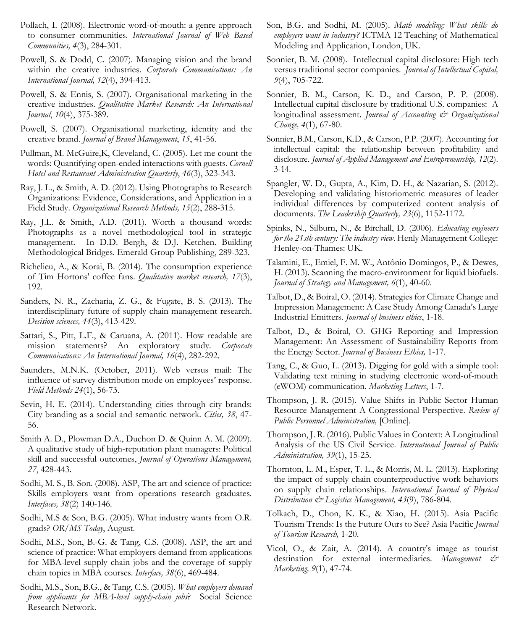- Pollach, I. (2008). Electronic word-of-mouth: a genre approach to consumer communities. *International Journal of Web Based Communities, 4*(3), 284-301.
- Powell, S. & Dodd, C. (2007). Managing vision and the brand within the creative industries. *Corporate Communications: An International Journal, 12*(4), 394-413.
- Powell, S. & Ennis, S. (2007). Organisational marketing in the creative industries. *Qualitative Market Research: An International Journal*, *10*(4), 375-389.
- Powell, S. (2007). Organisational marketing, identity and the creative brand. *Journal of Brand Management*, *15*, 41-56.
- Pullman, M. McGuire,K, Cleveland, C. (2005). Let me count the words: Quantifying open-ended interactions with guests. *Cornell Hotel and Restaurant Administration Quarterly*, *46*(3), 323-343.
- Ray, J. L., & Smith, A. D. (2012). Using Photographs to Research Organizations: Evidence, Considerations, and Application in a Field Study. *Organizational Research Methods, 15*(2), 288-315.
- Ray, J.L. & Smith, A.D. (2011). Worth a thousand words: Photographs as a novel methodological tool in strategic management. In D.D. Bergh, & D.J. Ketchen. Building Methodological Bridges. Emerald Group Publishing, 289-323.
- Richelieu, A., & Korai, B. (2014). The consumption experience of Tim Hortons' coffee fans. *Qualitative market research, 17*(3), 192.
- Sanders, N. R., Zacharia, Z. G., & Fugate, B. S. (2013). The interdisciplinary future of supply chain management research. *Decision sciences, 44*(3), 413-429.
- Sattari, S., Pitt, L.F., & Caruana, A. (2011). How readable are mission statements? An exploratory study. *Corporate Communications: An International Journal, 16*(4), 282-292.
- Saunders, M.N.K. (October, 2011). Web versus mail: The influence of survey distribution mode on employees' response. *Field Methods 24*(1), 56-73.
- Sevin, H. E. (2014). Understanding cities through city brands: City branding as a social and semantic network. *Cities, 38*, 47- 56.
- Smith A. D., Plowman D.A., Duchon D. & Quinn A. M. (2009). A qualitative study of high-reputation plant managers: Political skill and successful outcomes, *Journal of Operations Management, 27*, 428-443.
- Sodhi, M. S., B. Son. (2008). ASP, The art and science of practice: Skills employers want from operations research graduates*. Interfaces, 38*(2) 140-146.
- Sodhi, M.S & Son, B.G. (2005). What industry wants from O.R. grads? *OR/MS Today*, August.
- Sodhi, M.S., Son, B.-G. & Tang, C.S. (2008). ASP, the art and science of practice: What employers demand from applications for MBA-level supply chain jobs and the coverage of supply chain topics in MBA courses. *Interface, 38*(6), 469-484.
- Sodhi, M.S., Son, B.G., & Tang, C.S. (2005). *What employers demand from applicants for MBA-level supply-chain jobs*? Social Science Research Network.
- Son, B.G. and Sodhi, M. (2005). *Math modeling: What skills do employers want in industry?* ICTMA 12 Teaching of Mathematical Modeling and Application, London, UK.
- Sonnier, B. M. (2008). Intellectual capital disclosure: High tech versus traditional sector companies*. Journal of Intellectual Capital, 9*(4), 705-722.
- Sonnier, B. M., Carson, K. D., and Carson, P. P. (2008). Intellectual capital disclosure by traditional U.S. companies: A longitudinal assessment. *Journal of Accounting & Organizational Change, 4*(1), 67-80.
- Sonnier, B.M., Carson, K.D., & Carson, P.P. (2007). Accounting for intellectual capital: the relationship between profitability and disclosure. *Journal of Applied Management and Entrepreneurship, 12*(2). 3-14.
- Spangler, W. D., Gupta, A., Kim, D. H., & Nazarian, S. (2012). Developing and validating historiometric measures of leader individual differences by computerized content analysis of documents. *The Leadership Quarterly, 23*(6), 1152-1172.
- Spinks, N., Silburn, N., & Birchall, D. (2006). *Educating engineers for the 21sth century: The industry view*. Henly Management College: Henley-on-Thames: UK.
- Talamini, E., Emiel, F. M. W., Antônio Domingos, P., & Dewes, H. (2013). Scanning the macro-environment for liquid biofuels. *Journal of Strategy and Management, 6*(1), 40-60.
- Talbot, D., & Boiral, O. (2014). Strategies for Climate Change and Impression Management: A Case Study Among Canada's Large Industrial Emitters. *Journal of business ethics*, 1-18.
- Talbot, D., & Boiral, O. GHG Reporting and Impression Management: An Assessment of Sustainability Reports from the Energy Sector. *Journal of Business Ethics,* 1-17.
- Tang, C., & Guo, L. (2013). Digging for gold with a simple tool: Validating text mining in studying electronic word-of-mouth (eWOM) communication. *Marketing Letters*, 1-7.
- Thompson, J. R. (2015). Value Shifts in Public Sector Human Resource Management A Congressional Perspective. *Review of Public Personnel Administration,* [Online]*.*
- Thompson, J. R. (2016). Public Values in Context: A Longitudinal Analysis of the US Civil Service. *International Journal of Public Administration, 39*(1), 15-25.
- Thornton, L. M., Esper, T. L., & Morris, M. L. (2013). Exploring the impact of supply chain counterproductive work behaviors on supply chain relationships. *International Journal of Physical Distribution & Logistics Management, 43*(9), 786-804.
- Tolkach, D., Chon, K. K., & Xiao, H. (2015). Asia Pacific Tourism Trends: Is the Future Ours to See? Asia Pacific *Journal of Tourism Research,* 1-20.
- Vicol, O., & Zait, A. (2014). A country's image as tourist destination for external intermediaries. *Management & Marketing, 9*(1), 47-74.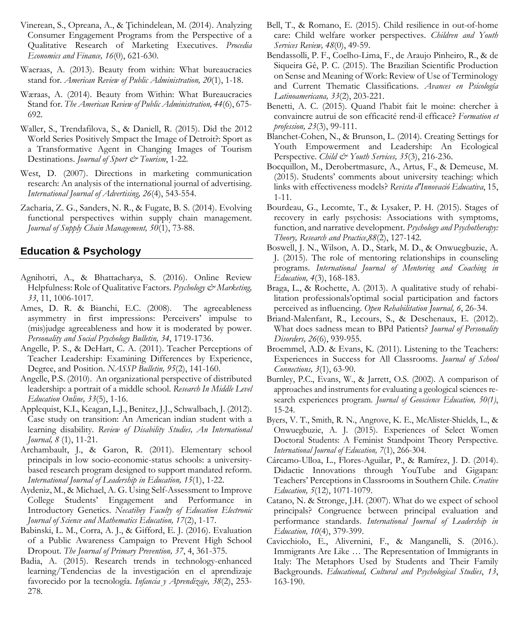- Vinerean, S., Opreana, A., & Ţichindelean, M. (2014). Analyzing Consumer Engagement Programs from the Perspective of a Qualitative Research of Marketing Executives. *Procedia Economics and Finance, 16*(0), 621-630.
- Waeraas, A. (2013). Beauty from within: What bureaucracies stand for. *American Review of Public Administration, 20*(1), 1-18.
- Wæraas, A. (2014). Beauty from Within: What Bureaucracies Stand for. *The American Review of Public Administration, 44*(6), 675- 692.
- Waller, S., Trendafilova, S., & Daniell, R. (2015). Did the 2012 World Series Positively Smpact the Image of Detroit?: Sport as a Transformative Agent in Changing Images of Tourism Destinations. *Journal of Sport & Tourism*, 1-22.
- West, D. (2007). Directions in marketing communication research: An analysis of the international journal of advertising. *International Journal of Advertising, 26*(4), 543-554.
- Zacharia, Z. G., Sanders, N. R., & Fugate, B. S. (2014). Evolving functional perspectives within supply chain management. *Journal of Supply Chain Management, 50*(1), 73-88.

## **Education & Psychology**

- Agnihotri, A., & Bhattacharya, S. (2016). Online Review Helpfulness: Role of Qualitative Factors. *Psychology & Marketing*, *33*, 11, 1006-1017.
- Ames, D. R. & Bianchi, E.C. (2008). The agreeableness asymmetry in first impressions: Perceivers' impulse to (mis)judge agreeableness and how it is moderated by power. *Personality and Social Psychology Bulletin, 34*, 1719-1736.
- Angelle, P. S., & DeHart, C. A. (2011). Teacher Perceptions of Teacher Leadership: Examining Differences by Experience, Degree, and Position. *NASSP Bulletin, 95*(2), 141-160.
- Angelle, P.S. (2010). An organizational perspective of distributed leadership: a portrait of a middle school. *Research In Middle Level Education Online, 33*(5), 1-16.
- Applequist, K.L, Keagan, L.J., Benitez, J.J., Schwalbach, J. (2012). Case study on transition: An American indian student with a learning disability. *Review of Disability Studies, An International Journal, 8* (1), 11-21.
- Archambault, J., & Garon, R. (2011). Elementary school principals in low socio-economic-status schools: a universitybased research program designed to support mandated reform. *International Journal of Leadership in Education, 15*(1), 1-22.
- Aydeniz, M., & Michael, A. G. Using Self-Assessment to Improve College Students' Engagement and Performance in Introductory Genetics. *Necatibey Faculty of Education Electronic Journal of Science and Mathematics Education, 17*(2), 1-17.
- Babinski, L. M., Corra, A. J., & Gifford, E. J. (2016). Evaluation of a Public Awareness Campaign to Prevent High School Dropout. *The Journal of Primary Prevention, 37*, 4, 361-375.
- Badia, A. (2015). Research trends in technology-enhanced learning/Tendencias de la investigación en el aprendizaje favorecido por la tecnología. *Infancia y Aprendizaje, 38*(2), 253- 278.
- Bell, T., & Romano, E. (2015). Child resilience in out-of-home care: Child welfare worker perspectives. *Children and Youth Services Review, 48*(0), 49-59.
- Bendassolli, P. F., Coelho-Lima, F., de Araujo Pinheiro, R., & de Siqueira Gê, P. C. (2015). The Brazilian Scientific Production on Sense and Meaning of Work: Review of Use of Terminology and Current Thematic Classifications. *Avances en Psicología Latinoamericana, 33*(2), 203-221.
- Benetti, A. C. (2015). Quand l'habit fait le moine: chercher à convaincre autrui de son efficacité rend-il efficace? *Formation et profession, 23*(3), 99-111.
- Blanchet-Cohen, N., & Brunson, L. (2014). Creating Settings for Youth Empowerment and Leadership: An Ecological Perspective. *Child & Youth Services*, 35(3), 216-236.
- Bocquillon, M., Derobertmasure, A., Artus, F., & Demeuse, M. (2015). Students' comments about university teaching: which links with effectiveness models? *Revista d'Innovació Educativa*, 15, 1-11.
- Bourdeau, G., Lecomte, T., & Lysaker, P. H. (2015). Stages of recovery in early psychosis: Associations with symptoms, function, and narrative development. *Psychology and Psychotherapy: Theory, Research and Practice*,*88*(2), 127-142.
- Boswell, J. N., Wilson, A. D., Stark, M. D., & Onwuegbuzie, A. J. (2015). The role of mentoring relationships in counseling programs. *International Journal of Mentoring and Coaching in Education, 4*(3), 168-183.
- Braga, L., & Rochette, A. (2013). A qualitative study of rehabilitation professionals'optimal social participation and factors perceived as influencing. *Open Rehabilitation Journal, 6*, 26-34.
- Briand-Malenfant, R., Lecours, S., & Deschenaux, E. (2012). What does sadness mean to BPd Patients? *Journal of Personality Disorders, 26*(6), 939-955.
- Broemmel, A.D. & Evans, K. (2011). Listening to the Teachers: Experiences in Success for All Classrooms. *Journal of School Connections, 3*(1), 63-90.
- Burnley, P.C., Evans, W., & Jarrett, O.S. (2002). A comparison of approaches and instruments for evaluating a geological sciences research experiences program. *Journal of Geoscience Education, 50(1)*, 15-24.
- Byers, V. T., Smith, R. N., Angrove, K. E., McAlister-Shields, L., & Onwuegbuzie, A. J. (2015). Experiences of Select Women Doctoral Students: A Feminist Standpoint Theory Perspective. *International Journal of Education, 7*(1), 266-304.
- Cárcamo-Ulloa, L., Flores-Aguilar, P., & Ramírez, J. D. (2014). Didactic Innovations through YouTube and Gigapan: Teachers' Perceptions in Classrooms in Southern Chile. *Creative Education, 5*(12), 1071-1079.
- Catano, N. & Stronge, J.H. (2007). What do we expect of school principals? Congruence between principal evaluation and performance standards. *International Journal of Leadership in Education, 10*(4), 379-399.
- Cavicchiolo, E., Alivernini, F., & Manganelli, S. (2016.). Immigrants Are Like … The Representation of Immigrants in Italy: The Metaphors Used by Students and Their Family Backgrounds. *Educational, Cultural and Psychological Studies*, *13*, 163-190.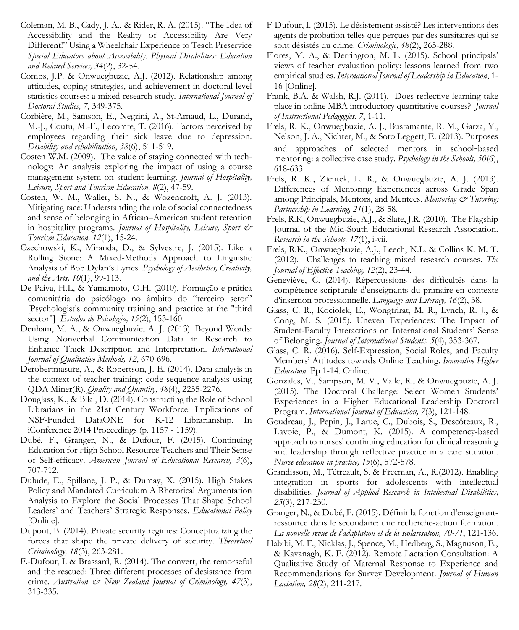- Coleman, M. B., Cady, J. A., & Rider, R. A. (2015). "The Idea of Accessibility and the Reality of Accessibility Are Very Different!" Using a Wheelchair Experience to Teach Preservice *Special Educators about Accessibility. Physical Disabilities: Education and Related Services, 34*(2), 32-54.
- Combs, J.P. & Onwuegbuzie, A.J. (2012). Relationship among attitudes, coping strategies, and achievement in doctoral-level statistics courses: a mixed research study*. International Journal of Doctoral Studies, 7,* 349-375.
- Corbière, M., Samson, E., Negrini, A., St-Arnaud, L., Durand, M.-J., Coutu, M.-F., Lecomte, T. (2016). Factors perceived by employees regarding their sick leave due to depression. *Disability and rehabilitation*, *38*(6), 511-519.
- Costen W.M. (2009). The value of staying connected with technology: An analysis exploring the impact of using a course management system on student learning. *Journal of Hospitality, Leisure, Sport and Tourism Education, 8*(2), 47-59.
- Costen, W. M., Waller, S. N., & Wozencroft, A. J. (2013). Mitigating race: Understanding the role of social connectedness and sense of belonging in African–American student retention in hospitality programs. *Journal of Hospitality*, Leisure, Sport & *Tourism Education, 12*(1), 15-24.
- Czechowski, K., Miranda, D., & Sylvestre, J. (2015). Like a Rolling Stone: A Mixed-Methods Approach to Linguistic Analysis of Bob Dylan's Lyrics. *Psychology of Aesthetics, Creativity, and the Arts, 10*(1), 99-113.
- De Paiva, H.L, & Yamamoto, O.H. (2010). Formação e prática comunitária do psicólogo no âmbito do "terceiro setor" [Psychologist's community training and practice at the "third sector"] *Estudos de Psicologia, 15*(2), 153-160.
- Denham, M. A., & Onwuegbuzie, A. J. (2013). Beyond Words: Using Nonverbal Communication Data in Research to Enhance Thick Description and Interpretation*. International Journal of Qualitative Methods, 12*, 670-696.
- Derobertmasure, A., & Robertson, J. E. (2014). Data analysis in the context of teacher training: code sequence analysis using QDA Miner(R). *Quality and Quantity, 48*(4), 2255-2276.
- Douglass, K., & Bilal, D. (2014). Constructing the Role of School Librarians in the 21st Century Workforce: Implications of NSF-Funded DataONE for K-12 Librarianship. In iConference 2014 Proceedings (p. 1157 - 1159).
- Dubé, F., Granger, N., & Dufour, F. (2015). Continuing Education for High School Resource Teachers and Their Sense of Self-efficacy. *American Journal of Educational Research, 3*(6), 707-712.
- Dulude, E., Spillane, J. P., & Dumay, X. (2015). High Stakes Policy and Mandated Curriculum A Rhetorical Argumentation Analysis to Explore the Social Processes That Shape School Leaders' and Teachers' Strategic Responses. *Educational Policy* [Online]*.*
- Dupont, B. (2014). Private security regimes: Conceptualizing the forces that shape the private delivery of security. *Theoretical Criminology, 18*(3), 263-281.
- F.-Dufour, I. & Brassard, R. (2014). The convert, the remorseful and the rescued: Three different processes of desistance from crime. *Australian & New Zealand Journal of Criminology, 47*(3), 313-335.
- F-Dufour, I. (2015). Le désistement assisté? Les interventions des agents de probation telles que perçues par des sursitaires qui se sont désistés du crime. *Criminologie, 48*(2), 265-288.
- Flores, M. A., & Derrington, M. L. (2015). School principals' views of teacher evaluation policy: lessons learned from two empirical studies. *International Journal of Leadership in Education*, 1- 16 [Online].
- Frank, B.A. & Walsh, R.J. (2011). Does reflective learning take place in online MBA introductory quantitative courses? *Journal of Instructional Pedagogies. 7*, 1-11.
- Frels, R. K., Onwuegbuzie, A. J., Bustamante, R. M., Garza, Y., Nelson, J. A., Nichter, M., & Soto Leggett, E. (2013). Purposes and approaches of selected mentors in school‐based mentoring: a collective case study. *Psychology in the Schools, 50*(6), 618-633.
- Frels, R. K., Zientek, L. R., & Onwuegbuzie, A. J. (2013). Differences of Mentoring Experiences across Grade Span among Principals, Mentors, and Mentees. *Mentoring & Tutoring: Partnership in Learning, 21*(1), 28-58.
- Frels, R.K, Onwuegbuzie, A.J., & Slate, J.R. (2010). The Flagship Journal of the Mid-South Educational Research Association. *Research in the Schools, 17*(1), i-vii.
- Frels, R.K., Onwuegbuzie, A.J., Leech, N.L. & Collins K. M. T. (2012). Challenges to teaching mixed research courses. *The Journal of Effective Teaching, 12*(2), 23-44.
- Geneviève, C. (2014). Répercussions des difficultés dans la compétence scripturale d'enseignants du primaire en contexte d'insertion professionnelle. *Language and Literacy, 16*(2), 38.
- Glass, C. R., Kociolek, E., Wongtrirat, M. R., Lynch, R. J., & Cong, M. S. (2015). Uneven Experiences: The Impact of Student-Faculty Interactions on International Students' Sense of Belonging*. Journal of International Students, 5*(4), 353-367.
- Glass, C. R. (2016). Self-Expression, Social Roles, and Faculty Members' Attitudes towards Online Teaching. *Innovative Higher Education*. Pp 1-14. Online.
- Gonzales, V., Sampson, M. V., Valle, R., & Onwuegbuzie, A. J. (2015). The Doctoral Challenge: Select Women Students' Experiences in a Higher Educational Leadership Doctoral Program. *International Journal of Education, 7*(3), 121-148.
- Goudreau, J., Pepin, J., Larue, C., Dubois, S., Descôteaux, R., Lavoie, P., & Dumont, K. (2015). A competency-based approach to nurses' continuing education for clinical reasoning and leadership through reflective practice in a care situation. *Nurse education in practice, 15*(6), 572-578.
- Grandisson, M., Tétreault, S. & Freeman, A., R.(2012). Enabling integration in sports for adolescents with intellectual disabilities. *Journal of Applied Research in Intellectual Disabilities, 25*(3), 217-230.
- Granger, N., & Dubé, F. (2015). Définir la fonction d'enseignantressource dans le secondaire: une recherche-action formation. *La nouvelle revue de l'adaptation et de la scolarisation, 70-71*, 121-136.
- Habibi, M. F., Nicklas, J., Spence, M., Hedberg, S., Magnuson, E., & Kavanagh, K. F. (2012). Remote Lactation Consultation: A Qualitative Study of Maternal Response to Experience and Recommendations for Survey Development. *Journal of Human Lactation, 28*(2), 211-217.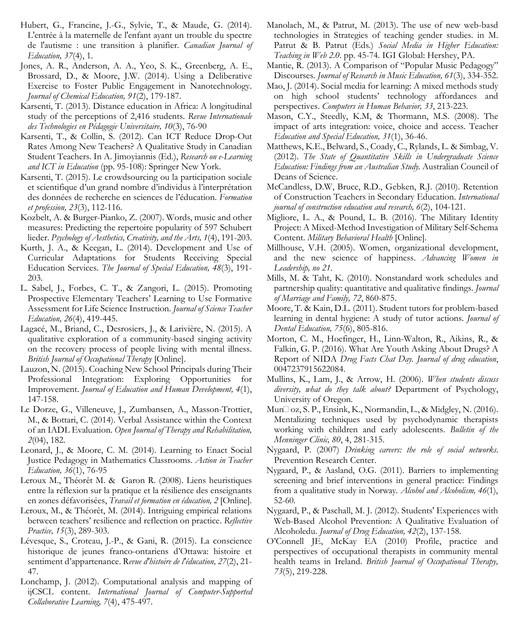- Hubert, G., Francine, J.-G., Sylvie, T., & Maude, G. (2014). L'entrée à la maternelle de l'enfant ayant un trouble du spectre de l'autisme : une transition à planifier. *Canadian Journal of Education, 37*(4), 1.
- Jones, A. R., Anderson, A. A., Yeo, S. K., Greenberg, A. E., Brossard, D., & Moore, J.W. (2014). Using a Deliberative Exercise to Foster Public Engagement in Nanotechnology. *Journal of Chemical Education, 91*(2), 179-187.
- Karsenti, T. (2013). Distance education in Africa: A longitudinal study of the perceptions of 2,416 students. *Revue Internationale des Technologies en Pédagogie Universitaire, 10*(3), 76-90
- Karsenti, T., & Collin, S. (2012). Can ICT Reduce Drop-Out Rates Among New Teachers? A Qualitative Study in Canadian Student Teachers. In A. Jimoyiannis (Ed.), *Research on e-Learning and ICT in Education* (pp. 95-108): Springer New York.
- Karsenti, T. (2015). Le crowdsourcing ou la participation sociale et scientifique d'un grand nombre d'individus à l'interprétation des données de recherche en sciences de l'éducation. *Formation et profession, 23*(3), 112-116.
- Kozbelt, A. & Burger-Pianko, Z. (2007). Words, music and other measures: Predicting the repertoire popularity of 597 Schubert lieder. *Psychology of Aesthetics, Creativity, and the Arts, 1*(4), 191-203.
- Kurth, J. A., & Keegan, L. (2014). Development and Use of Curricular Adaptations for Students Receiving Special Education Services. *The Journal of Special Education, 48*(3), 191- 203.
- L. Sabel, J., Forbes, C. T., & Zangori, L. (2015). Promoting Prospective Elementary Teachers' Learning to Use Formative Assessment for Life Science Instruction. *Journal of Science Teacher Education, 26*(4), 419-445.
- Lagacé, M., Briand, C., Desrosiers, J., & Larivière, N. (2015). A qualitative exploration of a community-based singing activity on the recovery process of people living with mental illness. *British Journal of Occupational Therapy* [Online].
- Lauzon, N. (2015). Coaching New School Principals during Their Professional Integration: Exploring Opportunities for Improvement. *Journal of Education and Human Development, 4*(1), 147-158.
- Le Dorze, G., Villeneuve, J., Zumbansen, A., Masson-Trottier, M., & Bottari, C. (2014). Verbal Assistance within the Context of an IADL Evaluation. *Open Journal of Therapy and Rehabilitation, 2*(04), 182.
- Leonard, J., & Moore, C. M. (2014). Learning to Enact Social Justice Pedagogy in Mathematics Classrooms. *Action in Teacher Education, 36*(1), 76-95
- Leroux M., Théorêt M. & Garon R. (2008). Liens heuristiques entre la réflexion sur la pratique et la résilience des enseignants en zones défavorisées, *Travail et formation en éducation, 2* [Online].
- Leroux, M., & Théorêt, M. (2014). Intriguing empirical relations between teachers' resilience and reflection on practice. *Reflective Practice, 15*(3), 289-303.
- Lévesque, S., Croteau, J.-P., & Gani, R. (2015). La conscience historique de jeunes franco-ontariens d'Ottawa: histoire et sentiment d'appartenance. R*evue d'histoire de l'éducation, 27*(2), 21- 47.
- Lonchamp, J. (2012). Computational analysis and mapping of ijCSCL content. *International Journal of Computer-Supported Collaborative Learning, 7*(4), 475-497.
- Manolach, M., & Patrut, M. (2013). The use of new web-basd technologies in Strategies of teaching gender studies. in M. Patrut & B. Patrut (Eds*.*) *Social Media in Higher Education: Teaching in Web 2.0*. pp. 45-74. IGI Global: Hershey, PA.
- Mantie, R. (2013). A Comparison of "Popular Music Pedagogy" Discourses. *Journal of Research in Music Education, 61*(3), 334-352.
- Mao, J. (2014). Social media for learning: A mixed methods study on high school students' technology affordances and perspectives. *Computers in Human Behavior, 33*, 213-223.
- Mason, C.Y., Steedly, K.M, & Thormann, M.S. (2008). The impact of arts integration: voice, choice and access. Teacher *Education and Special Education, 31*(1), 36-46.
- Matthews, K.E., Belward, S., Coady, C., Rylands, L. & Simbag, V. (2012). *The State of Quantitative Skills in Undergraduate Science Education: Findings from an Australian Study.* Australian Council of Deans of Science.
- McCandless, D.W, Bruce, R.D., Gebken, R.J. (2010). Retention of Construction Teachers in Secondary Education. *International journal of construction education and research, 6*(2), 104-121.
- Migliore, L. A., & Pound, L. B. (2016). The Military Identity Project: A Mixed-Method Investigation of Military Self-Schema Content. *Military Behavioral Health* [Online].
- Millhouse, V.H. (2005). Women, organizational development, and the new science of happiness. *Advancing Women in Leadership, no 21*.
- Mills, M. & Taht, K. (2010). Nonstandard work schedules and partnership quality: quantitative and qualitative findings. *Journal of Marriage and Family, 72*, 860-875.
- Moore, T. & Kain, D.L. (2011). Student tutors for problem-based learning in dental hygiene: A study of tutor actions. *Journal of Dental Education, 75*(6), 805-816.
- Morton, C. M., Hoefinger, H., Linn-Walton, R., Aikins, R., & Falkin, G. P. (2016). What Are Youth Asking About Drugs? A Report of NIDA *Drug Facts Chat Day. Journal of drug education*, 0047237915622084.
- Mullins, K., Lam, J., & Arrow, H. (2006). *When students discuss diversity, what do they talk about?* Department of Psychology, University of Oregon.
- Mun□ oz, S. P., Ensink, K., Normandin, L., & Midgley, N. (2016). Mentalizing techniques used by psychodynamic therapists working with children and early adolescents. *Bulletin of the Menninger Clinic, 80*, 4, 281-315.
- Nygaard, P. (2007) *Drinking careers: the role of social networks*. Prevention Research Center.
- Nygaard, P., & Aasland, O.G. (2011). Barriers to implementing screening and brief interventions in general practice: Findings from a qualitative study in Norway*. Alcohol and Alcoholism, 46*(1), 52-60.
- Nygaard, P., & Paschall, M. J. (2012). Students' Experiences with Web-Based Alcohol Prevention: A Qualitative Evaluation of Alcoholedu. *Journal of Drug Education, 42*(2), 137-158.
- O'Connell JE, McKay EA (2010) Profile, practice and perspectives of occupational therapists in community mental health teams in Ireland. *British Journal of Occupational Therapy, 73*(5), 219-228.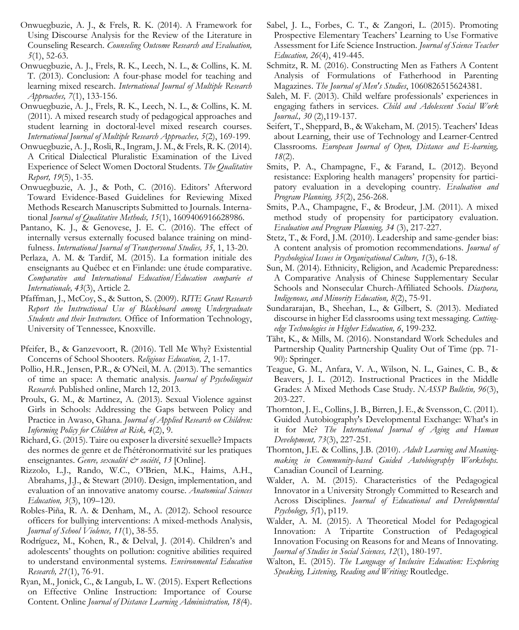- Onwuegbuzie, A. J., & Frels, R. K. (2014). A Framework for Using Discourse Analysis for the Review of the Literature in Counseling Research. *Counseling Outcome Research and Evaluation, 5*(1), 52-63.
- Onwuegbuzie, A. J., Frels, R. K., Leech, N. L., & Collins, K. M. T. (2013). Conclusion: A four-phase model for teaching and learning mixed research. *International Journal of Multiple Research Approaches, 7*(1), 133-156.
- Onwuegbuzie, A. J., Frels, R. K., Leech, N. L., & Collins, K. M. (2011). A mixed research study of pedagogical approaches and student learning in doctoral-level mixed research courses. *International Journal of Multiple Research Approaches, 5*(2), 169-199.
- Onwuegbuzie, A. J., Rosli, R., Ingram, J. M., & Frels, R. K. (2014). A Critical Dialectical Pluralistic Examination of the Lived Experience of Select Women Doctoral Students. *The Qualitative Report, 19*(5), 1-35.
- Onwuegbuzie, A. J., & Poth, C. (2016). Editors' Afterword Toward Evidence-Based Guidelines for Reviewing Mixed Methods Research Manuscripts Submitted to Journals. International *Journal of Qualitative Methods, 15*(1), 1609406916628986.
- Pantano, K. J., & Genovese, J. E. C. (2016). The effect of internally versus externally focused balance training on mindfulness. *International Journal of Transpersonal Studies, 35*, 1, 13-20.
- Perlaza, A. M. & Tardif, M. (2015). La formation initiale des enseignants au Québec et en Finlande: une étude comparative. *Comparative and International Education/Éducation comparée et Internationale, 43*(3), Article 2.
- Pfaffman, J., McCoy, S., & Sutton, S. (2009). *RITE Grant Research Report the Instructional Use of Blackboard among Undergraduate Students and their Instructors.* Office of Information Technology, University of Tennessee, Knoxville.
- Pfeifer, B., & Ganzevoort, R. (2016). Tell Me Why? Existential Concerns of School Shooters*. Religious Education, 2*, 1-17.
- Pollio, H.R., Jensen, P.R., & O'Neil, M. A. (2013). The semantics of time an space: A thematic analysis. *Journal of Psycholinguist Research.* Published online, March 12, 2013.
- Proulx, G. M., & Martinez, A. (2013). Sexual Violence against Girls in Schools: Addressing the Gaps between Policy and Practice in Awaso, Ghana. *Journal of Applied Research on Children: Informing Policy for Children at Risk, 4*(2), 9.
- Richard, G. (2015). Taire ou exposer la diversité sexuelle? Impacts des normes de genre et de l'hétéronormativité sur les pratiques enseignantes. *Genre, sexualité & société*, 13 [Online].
- Rizzolo, L.J., Rando, W.C., O'Brien, M.K., Haims, A.H., Abrahams, J.J., & Stewart (2010). Design, implementation, and evaluation of an innovative anatomy course. *Anatomical Sciences Education, 3*(3), 109–120.
- Robles-Piña, R. A. & Denham, M., A. (2012). School resource officers for bullying interventions: A mixed-methods Analysis, *Journal of School Violence, 11*(1), 38-55.
- Rodríguez, M., Kohen, R., & Delval, J. (2014). Children's and adolescents' thoughts on pollution: cognitive abilities required to understand environmental systems. *Environmental Education Research, 21*(1), 76-91.
- Ryan, M., Jonick, C., & Langub, L. W. (2015). Expert Reflections on Effective Online Instruction: Importance of Course Content. Online *Journal of Distance Learning Administration, 18(*4).
- Sabel, J. L., Forbes, C. T., & Zangori, L. (2015). Promoting Prospective Elementary Teachers' Learning to Use Formative Assessment for Life Science Instruction. *Journal of Science Teacher Education, 26*(4), 419-445.
- Schmitz, R. M. (2016). Constructing Men as Fathers A Content Analysis of Formulations of Fatherhood in Parenting Magazines. *The Journal of Men's Studies*, 1060826515624381.
- Saleh, M. F. (2013). Child welfare professionals' experiences in engaging fathers in services. *Child and Adolescent Social Work Journal., 30* (2),119-137.
- Seifert, T., Sheppard, B., & Wakeham, M. (2015). Teachers' Ideas about Learning, their use of Technology and Learner-Centred Classrooms*. European Journal of Open, Distance and E-learning, 18*(2).
- Smits, P. A., Champagne, F., & Farand, L. (2012). Beyond resistance: Exploring health managers' propensity for participatory evaluation in a developing country. *Evaluation and Program Planning, 35*(2), 256-268.
- Smits, P.A., Champagne, F., & Brodeur, J.M. (2011). A mixed method study of propensity for participatory evaluation. *Evaluation and Program Planning, 34* (3), 217-227.
- Stetz, T., & Ford, J.M. (2010). Leadership and same-gender bias: A content analysis of promotion recommendations. *Journal of Psychological Issues in Organizational Culture, 1*(3), 6-18.
- Sun, M. (2014). Ethnicity, Religion, and Academic Preparedness: A Comparative Analysis of Chinese Supplementary Secular Schools and Nonsecular Church-Affiliated Schools. *Diaspora, Indigenous, and Minority Education, 8*(2), 75-91.
- Sundararajan, B., Sheehan, L., & Gilbert, S. (2013). Mediated discourse in higher Ed classrooms using text messaging. *Cuttingedge Technologies in Higher Education, 6*, 199-232.
- Täht, K., & Mills, M. (2016). Nonstandard Work Schedules and Partnership Quality Partnership Quality Out of Time (pp. 71- 90): Springer.
- Teague, G. M., Anfara, V. A., Wilson, N. L., Gaines, C. B., & Beavers, J. L. (2012). Instructional Practices in the Middle Grades: A Mixed Methods Case Study. *NASSP Bulletin, 96*(3), 203-227.
- Thornton, J. E., Collins, J. B., Birren, J. E., & Svensson, C. (2011). Guided Autobiography's Developmental Exchange: What's in it for Me? *The International Journal of Aging and Human Development, 73*(3), 227-251.
- Thornton, J.E. & Collins, J.B. (2010). *Adult Learning and Meaningmaking in Community-based Guided Autobiography Workshops.* Canadian Council of Learning.
- Walder, A. M. (2015). Characteristics of the Pedagogical Innovator in a University Strongly Committed to Research and Across Disciplines. *Journal of Educational and Developmental Psychology, 5(*1), p119.
- Walder, A. M. (2015). A Theoretical Model for Pedagogical Innovation: A Tripartite Construction of Pedagogical Innovation Focusing on Reasons for and Means of Innovating. *Journal of Studies in Social Sciences, 12*(1), 180-197.
- Walton, E. (2015). *The Language of Inclusive Education: Exploring Speaking, Listening, Reading and Writing:* Routledge.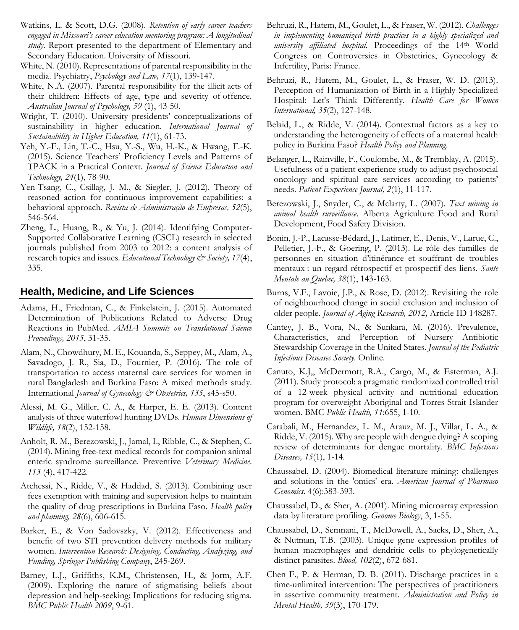- Watkins, L. & Scott, D.G. (2008). *Retention of early career teachers engaged in Missouri's career education mentoring program: A longitudinal study.* Report presented to the department of Elementary and Secondary Education. University of Missouri.
- White, N. (2010). Representations of parental responsibility in the media. Psychiatry, *Psychology and Law, 17*(1), 139-147.
- White, N.A. (2007). Parental responsibility for the illicit acts of their children: Effects of age, type and severity of offence. *Australian Journal of Psychology, 59* (1), 43-50.
- Wright, T. (2010). University presidents' conceptualizations of sustainability in higher education*. International Journal of Sustainability in Higher Education, 11*(1), 61-73.
- Yeh, Y.-F., Lin, T.-C., Hsu, Y.-S., Wu, H.-K., & Hwang, F.-K. (2015). Science Teachers' Proficiency Levels and Patterns of TPACK in a Practical Context. *Journal of Science Education and Technology, 24*(1), 78-90.
- Yen-Tsang, C., Csillag, J. M., & Siegler, J. (2012). Theory of reasoned action for continuous improvement capabilities: a behavioral approach. *Revista de Administração de Empresas, 52*(5), 546-564.
- Zheng, L., Huang, R., & Yu, J. (2014). Identifying Computer-Supported Collaborative Learning (CSCL) research in selected journals published from 2003 to 2012: a content analysis of research topics and issues. *Educational Technology & Society*, 17(4), 335.

### **Health, Medicine, and Life Sciences**

- Adams, H., Friedman, C., & Finkelstein, J. (2015). Automated Determination of Publications Related to Adverse Drug Reactions in PubMed. *AMIA Summits on Translational Science Proceedings, 2015*, 31-35.
- Alam, N., Chowdhury, M. E., Kouanda, S., Seppey, M., Alam, A., Savadogo, J. R., Sia, D., Fournier, P. (2016). The role of transportation to access maternal care services for women in rural Bangladesh and Burkina Faso: A mixed methods study. International *Journal of Gynecology & Obstetrics, 135*, s45-s50.
- Alessi, M. G., Miller, C. A., & Harper, E. E. (2013). Content analysis of three waterfowl hunting DVDs. *Human Dimensions of Wildlife, 18*(2), 152-158.
- Anholt, R. M., Berezowski, J., Jamal, I., Ribble, C., & Stephen, C. (2014). Mining free-text medical records for companion animal enteric syndrome surveillance. Preventive *Veterinary Medicine*. *113* (4), 417-422.
- Atchessi, N., Ridde, V., & Haddad, S. (2013). Combining user fees exemption with training and supervision helps to maintain the quality of drug prescriptions in Burkina Faso*. Health policy and planning, 28*(6), 606-615.
- Barker, E., & Von Sadovszky, V. (2012). Effectiveness and benefit of two STI prevention delivery methods for military women. *Intervention Research: Designing, Conducting, Analyzing, and Funding, Springer Publishing Company*, 245-269.
- Barney, L.J., Griffiths, K.M., Christensen, H., & Jorm, A.F. (2009). Exploring the nature of stigmatising beliefs about depression and help-seeking: Implications for reducing stigma. *BMC Public Health 2009*, 9-61.
- Behruzi, R., Hatem, M., Goulet, L., & Fraser, W. (2012). *Challenges in implementing humanized birth practices in a highly specialized and university affiliated hospital.* Proceedings of the 14th World Congress on Controversies in Obstetirics, Gynecology & Infertility, Paris: France.
- Behruzi, R., Hatem, M., Goulet, L., & Fraser, W. D. (2013). Perception of Humanization of Birth in a Highly Specialized Hospital: Let's Think Differently. *Health Care for Women International, 35*(2), 127-148.
- Belaid, L., & Ridde, V. (2014). Contextual factors as a key to understanding the heterogeneity of effects of a maternal health policy in Burkina Faso? *Health Policy and Planning*.
- Belanger, L., Rainville, F., Coulombe, M., & Tremblay, A. (2015). Usefulness of a patient experience study to adjust psychosocial oncology and spiritual care services according to patients' needs. *Patient Experience Journal, 2*(1), 11-117.
- Berezowski, J., Snyder, C., & Mclarty, L. (2007). *Text mining in animal health surveillance*. Alberta Agriculture Food and Rural Development, Food Safety Division.
- Bonin, J.-P., Lacasse-Bédard, J., Latimer, E., Denis, V., Larue, C., Pelletier, J.-F., & Goering, P. (2013). Le rôle des familles de personnes en situation d'itinérance et souffrant de troubles mentaux : un regard rétrospectif et prospectif des liens. *Sante Mentale au Quebec, 38*(1), 143-163.
- Burns, V.F., Lavoie, J.P., & Rose, D. (2012). Revisiting the role of neighbourhood change in social exclusion and inclusion of older people. *Journal of Aging Research, 2012,* Article ID 148287.
- Cantey, J. B., Vora, N., & Sunkara, M. (2016). Prevalence, Characteristics, and Perception of Nursery Antibiotic Stewardship Coverage in the United States. *Journal of the Pediatric Infectious Diseases Society*. Online.
- Canuto, K.J,, McDermott, R.A., Cargo, M., & Esterman, A.J. (2011). Study protocol: a pragmatic randomized controlled trial of a 12-week physical activity and nutritional education program for overweight Aboriginal and Torres Strait Islander women. BMC *Public Health, 11*:655, 1-10.
- Carabali, M., Hernandez, L. M., Arauz, M. J., Villar, L. A., & Ridde, V. (2015). Why are people with dengue dying? A scoping review of determinants for dengue mortality. *BMC Infectious Diseases, 15*(1), 1-14.
- Chaussabel, D. (2004). Biomedical literature mining: challenges and solutions in the 'omics' era. *American Journal of Pharmaco Genomics*. 4(6):383-393.
- Chaussabel, D., & Sher, A. (2001). Mining microarray expression data by literature profiling. *Genome Biology*, 3, 1-55.
- Chaussabel, D., Semnani, T., McDowell, A., Sacks, D., Sher, A., & Nutman, T.B. (2003). Unique gene expression profiles of human macrophages and dendritic cells to phylogenetically distinct parasites. *Blood, 102*(2), 672-681.
- Chen F., P. & Herman, D. B. (2011). Discharge practices in a time-unlimited intervention: The perspectives of practitioners in assertive community treatment. *Administration and Policy in Mental Health, 39*(3), 170-179.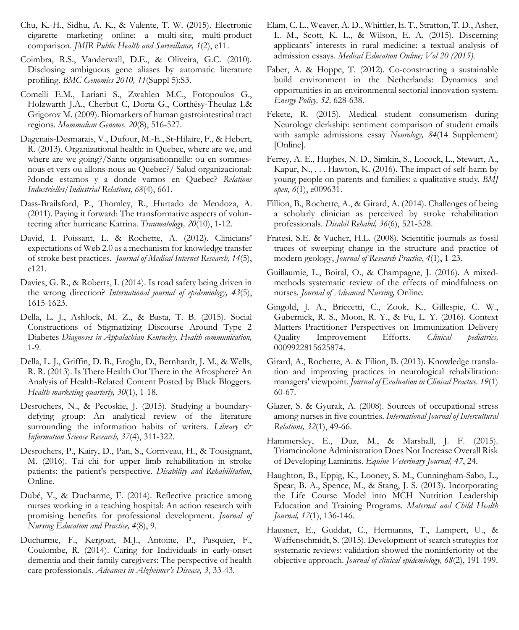- Chu, K.-H., Sidhu, A. K., & Valente, T. W. (2015). Electronic cigarette marketing online: a multi-site, multi-product comparison*. JMIR Public Health and Surveillance, 1*(2), e11.
- Coimbra, R.S., Vanderwall, D.E., & Oliveira, G.C. (2010). Disclosing ambiguous gene aliases by automatic literature profiling. *BMC Genomics 2010, 11*(Suppl 5):S3.
- Comelli E.M., Lariani S., Zwahlen M.C., Fotopoulos G., Holzwarth J.A., Cherbut C, Dorta G., Corthésy-Theulaz I.& Grigorov M. (2009). Biomarkers of human gastrointestinal tract regions. *Mammalian Genome. 20*(8), 516-527.
- Dagenais-Desmarais, V., Dufour, M.-E., St-Hilaire, F., & Hebert, R. (2013). Organizational health: in Quebec, where are we, and where are we going?/Sante organisationnelle: ou en sommesnous et vers ou allons-nous au Quebec?/ Salud organizacional: ?donde estamos y a donde vamos en Quebec? *Relations Industrielles/Industrial Relations, 68*(4), 661.
- Dass-Brailsford, P., Thomley, R., Hurtado de Mendoza, A. (2011). Paying it forward: The transformative aspects of volunteering after hurricane Katrina. *Traumatology, 20*(10), 1-12.
- David, I. Poissant, L. & Rochette, A. (2012). Clinicians' expectations of Web 2.0 as a mechanism for knowledge transfer of stroke best practices*. Journal of Medical Internet Research, 14*(5), e121.
- Davies, G. R., & Roberts, I. (2014). Is road safety being driven in the wrong direction? *International journal of epidemiology, 43*(5), 1615-1623.
- Della, L. J., Ashlock, M. Z., & Basta, T. B. (2015). Social Constructions of Stigmatizing Discourse Around Type 2 Diabetes *Diagnoses in Appalachian Kentucky. Health communication,* 1-9.
- Della, L. J., Griffin, D. B., Eroğlu, D., Bernhardt, J. M., & Wells, R. R. (2013). Is There Health Out There in the Afrosphere? An Analysis of Health-Related Content Posted by Black Bloggers. *Health marketing quarterly, 30*(1), 1-18.
- Desrochers, N., & Pecoskie, J. (2015). Studying a boundarydefying group: An analytical review of the literature surrounding the information habits of writers. *Library & Information Science Research, 37*(4), 311-322.
- Desrochers, P., Kairy, D., Pan, S., Corriveau, H., & Tousignant, M. (2016). Tai chi for upper limb rehabilitation in stroke patients: the patient's perspective. *Disability and Rehabilitation*, Online.
- Dubé, V., & Ducharme, F. (2014). Reflective practice among nurses working in a teaching hospital: An action research with promising benefits for professional development. *Journal of Nursing Education and Practice, 4*(8), 9.
- Ducharme, F., Kergoat, M.J., Antoine, P., Pasquier, F., Coulombe, R. (2014). Caring for Individuals in early-onset dementia and their family caregivers: The perspective of health care professionals. *Advances in Alzheimer's Disease, 3*, 33-43.
- Elam, C. L., Weaver, A. D., Whittler, E. T., Stratton, T. D., Asher, L. M., Scott, K. L., & Wilson, E. A. (2015). Discerning applicants' interests in rural medicine: a textual analysis of admission essays. *Medical Education Online; Vol 20 (2015)*.
- Faber, A. & Hoppe, T. (2012). Co-constructing a sustainable build environment in the Netherlands: Dynamics and opportunities in an environmental sectorial innovation system. *Energy Policy, 52,* 628-638.
- Fekete, R. (2015). Medical student consumerism during Neurology clerkship: sentiment comparison of student emails with sample admissions essay *Neurology, 84*(14 Supplement) [Online].
- Ferrey, A. E., Hughes, N. D., Simkin, S., Locock, L., Stewart, A., Kapur, N., . . . Hawton, K. (2016). The impact of self-harm by young people on parents and families: a qualitative study*. BMJ open, 6*(1), e009631.
- Fillion, B., Rochette, A., & Girard, A. (2014). Challenges of being a scholarly clinician as perceived by stroke rehabilitation professionals. *Disabil Rehabil, 36*(6), 521-528.
- Fratesi, S.E. & Vacher, H.L. (2008). Scientific journals as fossil traces of sweeping change in the structure and practice of modern geology, *Journal of Research Practice*, *4*(1), 1-23.
- Guillaumie, L., Boiral, O., & Champagne, J. (2016). A mixedmethods systematic review of the effects of mindfulness on nurses*. Journal of Advanced Nursing,* Online.
- Gingold, J. A., Briccetti, C., Zook, K., Gillespie, C. W., Gubernick, R. S., Moon, R. Y., & Fu, L. Y. (2016). Context Matters Practitioner Perspectives on Immunization Delivery Quality Improvement Efforts. *Clinical pediatrics,* 0009922815625874.
- Girard, A., Rochette, A. & Filion, B. (2013). Knowledge translation and improving practices in neurological rehabilitation: managers' viewpoint. *Journal of Evaluation in Clinical Practice. 19*(1) 60-67.
- Glazer, S. & Gyurak, A. (2008). Sources of occupational stress among nurses in five countries. *International Journal of Intercultural Relations, 32*(1), 49-66.
- Hammersley, E., Duz, M., & Marshall, J. F. (2015). Triamcinolone Administration Does Not Increase Overall Risk of Developing Laminitis. *Equine Veterinary Journal, 47*, 24.
- Haughton, B., Eppig, K., Looney, S. M., Cunningham-Sabo, L., Spear, B. A., Spence, M., & Stang, J. S. (2013). Incorporating the Life Course Model into MCH Nutrition Leadership Education and Training Programs. *Maternal and Child Health Journal, 17*(1), 136-146.
- Hausner, E., Guddat, C., Hermanns, T., Lampert, U., & Waffenschmidt, S. (2015). Development of search strategies for systematic reviews: validation showed the noninferiority of the objective approach. *Journal of clinical epidemiology, 68*(2), 191-199.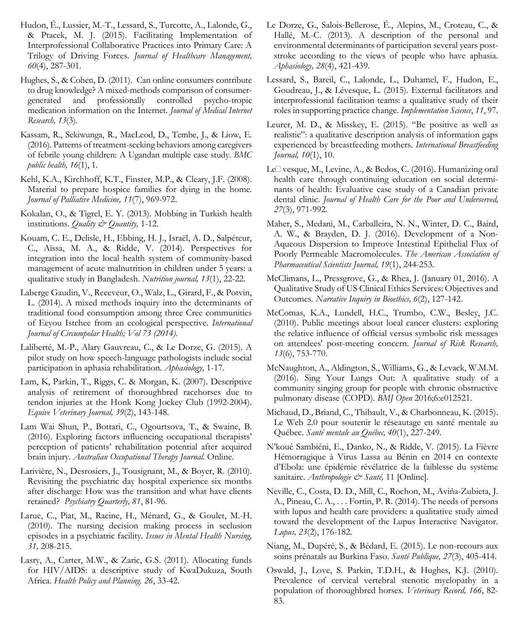- Hudon, É., Lussier, M.-T., Lessard, S., Turcotte, A., Lalonde, G., & Ptacek, M. J. (2015). Facilitating Implementation of Interprofessional Collaborative Practices into Primary Care: A Trilogy of Driving Forces. *Journal of Healthcare Management, 60*(4), 287-301.
- Hughes, S., & Cohen, D. (2011). Can online consumers contribute to drug knowledge? A mixed-methods comparison of consumer-<br>generated and professionally controlled psycho-tropic generated and professionally controlled psycho-tropic medication information on the Internet. *Journal of Medical Internet Research, 13*(3).
- Kassam, R., Sekiwunga, R., MacLeod, D., Tembe, J., & Liow, E. (2016). Patterns of treatment-seeking behaviors among caregivers of febrile young children: A Ugandan multiple case study*. BMC public health, 16*(1), 1.
- Kehl, K.A., Kirchhoff, K.T., Finster, M.P., & Cleary, J.F. (2008). Material to prepare hospice families for dying in the home*. Journal of Palliative Medicine, 11*(7), 969-972.
- Kokalan, O., & Tigrel, E. Y. (2013). Mobbing in Turkish health institutions. *Quality & Quantity,* 1-12.
- Kouam, C. E., Delisle, H., Ebbing, H. J., Israël, A. D., Salpéteur, C., Aïssa, M. A., & Ridde, V. (2014). Perspectives for integration into the local health system of community-based management of acute malnutrition in children under 5 years: a qualitative study in Bangladesh. *Nutrition journal, 13*(1), 22-22.
- Laberge Gaudin, V., Receveur, O., Walz, L., Girard, F., & Potvin, L. (2014). A mixed methods inquiry into the determinants of traditional food consumption among three Cree communities of Eeyou Istchee from an ecological perspective. *International Journal of Circumpolar Health; Vol 73 (2014)*.
- Laliberté, M.-P., Alary Gauvreau, C., & Le Dorze, G. (2015). A pilot study on how speech-language pathologists include social participation in aphasia rehabilitation. *Aphasiology,* 1-17.
- Lam, K, Parkin, T., Riggs, C. & Morgan, K. (2007). Descriptive analysis of retirement of thoroughbred racehorses due to tendon injuries at the Honk Kong Jockey Club (1992-2004). *Equive Veterinary Journal, 39*(2), 143-148.
- Lam Wai Shun, P., Bottari, C., Ogourtsova, T., & Swaine, B. (2016). Exploring factors influencing occupational therapists' perception of patients' rehabilitation potential after acquired brain injury. *Australian Occupational Therapy Journal*. Online.
- Larivière, N., Desrosiers, J., Tousignant, M., & Boyer, R. (2010). Revisiting the psychiatric day hospital experience six months after discharge: How was the transition and what have clients retained? *Psychiatry Quarterly, 81*, 81-96.
- Larue, C., Piat, M., Racine, H., Ménard, G., & Goulet, M.-H. (2010). The nursing decision making process in seclusion episodes in a psychiatric facility. *Issues in Mental Health Nursing, 31,* 208-215.
- Lasry, A., Carter, M.W., & Zaric, G.S. (2011). Allocating funds for HIV/AIDS: a descriptive study of KwaDukuza, South Africa. *Health Policy and Planning. 26*, 33-42.
- Le Dorze, G., Salois-Bellerose, É., Alepins, M., Croteau, C., & Hallé, M.-C. (2013). A description of the personal and environmental determinants of participation several years poststroke according to the views of people who have aphasia. *Aphasiology, 28*(4), 421-439.
- Lessard, S., Bareil, C., Lalonde, L., Duhamel, F., Hudon, E., Goudreau, J., & Lévesque, L. (2015). External facilitators and interprofessional facilitation teams: a qualitative study of their roles in supporting practice change. *Implementation Science*, *11*, 97.
- Leurer, M. D., & Misskey, E. (2015). "Be positive as well as realistic": a qualitative description analysis of information gaps experienced by breastfeeding mothers. *International Breastfeeding Journal, 10*(1), 10.
- Le<sup> $\Box$ </sup> vesque, M., Levine, A., & Bedos, C. (2016). Humanizing oral health care through continuing education on social determinants of health: Evaluative case study of a Canadian private dental clinic. *Journal of Health Care for the Poor and Underserved, 27*(3), 971-992.
- Maher, S., Medani, M., Carballeira, N. N., Winter, D. C., Baird, A. W., & Brayden, D. J. (2016). Development of a Non-Aqueous Dispersion to Improve Intestinal Epithelial Flux of Poorly Permeable Macromolecules. *The American Association of Pharmaceutical Scientists Journal, 19*(1), 244-253.
- McClimans, L., Pressgrove, G., & Rhea, J. (January 01, 2016). A Qualitative Study of US Clinical Ethics Services: Objectives and Outcomes*. Narrative Inquiry in Bioethics, 6*(2), 127-142.
- McComas, K.A., Lundell, H.C., Trumbo, C.W., Besley, J.C. (2010). Public meetings about local cancer clusters: exploring the relative influence of official versus symbolic risk messages on attendees' post-meeting concern. *Journal of Risk Research, 13*(6), 753-770.
- McNaughton, A., Aldington, S., Williams, G., & Levack, W.M.M. (2016). Sing Your Lungs Out: A qualitative study of a community singing group for people with chronic obstructive pulmonary disease (COPD). *BMJ Open* 2016;6:e012521.
- Michaud, D., Briand, C., Thibault, V., & Charbonneau, K. (2015). Le Web 2.0 pour soutenir le réseautage en santé mentale au Québec. *Santé mentale au Québec, 40*(1), 227-249.
- N'koué Sambiéni, E., Danko, N., & Ridde, V. (2015). La Fièvre Hémorragique à Virus Lassa au Bénin en 2014 en contexte d'Ebola: une épidémie révélatrice de la faiblesse du système sanitaire. *Anthropologie & Santé,* 11 [Online].
- Neville, C., Costa, D. D., Mill, C., Rochon, M., Aviña-Zubieta, J. A., Pineau, C. A., . . . Fortin, P. R. (2014). The needs of persons with lupus and health care providers: a qualitative study aimed toward the development of the Lupus Interactive Navigator. *Lupus, 23*(2), 176-182.
- Niang, M., Dupéré, S., & Bédard, E. (2015). Le non-recours aux soins prénatals au Burkina Faso. *Santé Publique, 27*(3), 405-414.
- Oswald, J., Love, S. Parkin, T.D.H., & Hughes, K.J. (2010). Prevalence of cervical vertebral stenotic myelopathy in a population of thoroughbred horses. *Veterinary Record, 166*, 82- 83.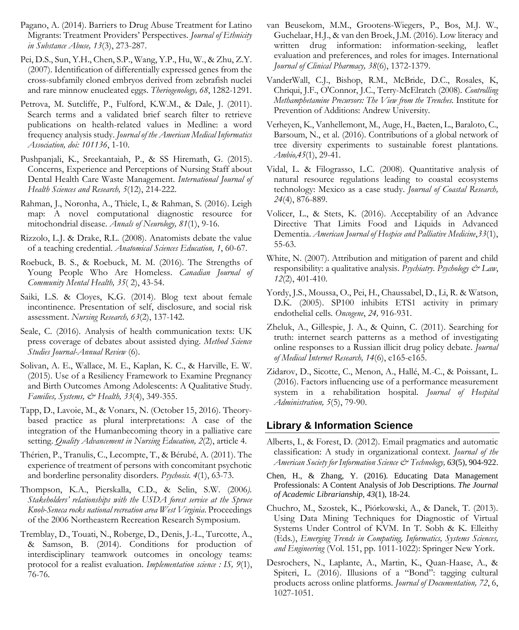- Pagano, A. (2014). Barriers to Drug Abuse Treatment for Latino Migrants: Treatment Providers' Perspectives. *Journal of Ethnicity in Substance Abuse, 13*(3), 273-287.
- Pei, D.S., Sun, Y.H., Chen, S.P., Wang, Y.P., Hu, W., & Zhu, Z.Y. (2007). Identification of differentially expressed genes from the cross-subfamily cloned embryos derived from zebrafish nuclei and rare minnow enucleated eggs. *Theriogenology, 68*, 1282-1291.
- Petrova, M. Sutcliffe, P., Fulford, K.W.M., & Dale, J. (2011). Search terms and a validated brief search filter to retrieve publications on health-related values in Medline: a word frequency analysis study. *Journal of the American Medical Informatics Association, doi: 101136*, 1-10.
- Pushpanjali, K., Sreekantaiah, P., & SS Hiremath, G. (2015). Concerns, Experience and Perceptions of Nursing Staff about Dental Health Care Waste Management. *International Journal of Health Sciences and Research, 5*(12), 214-222.
- Rahman, J., Noronha, A., Thiele, I., & Rahman, S. (2016). Leigh map: A novel computational diagnostic resource for mitochondrial disease. *Annals of Neurology, 81*(1), 9-16.
- Rizzolo, L.J. & Drake, R.L. (2008). Anatomists debate the value of a teaching credential. *Anatomical Sciences Education, 1*, 60-67.
- Roebuck, B. S., & Roebuck, M. M. (2016). The Strengths of Young People Who Are Homeless. *Canadian Journal of Community Mental Health, 35*( 2), 43-54.
- Saiki, L.S. & Cloyes, K.G. (2014). Blog text about female incontinence. Presentation of self, disclosure, and social risk assessment. *Nursing Research, 63*(2), 137-142.
- Seale, C. (2016). Analysis of health communication texts: UK press coverage of debates about assisted dying. *Method Science Studies Journal-Annual Review* (6).
- Solivan, A. E., Wallace, M. E., Kaplan, K. C., & Harville, E. W. (2015). Use of a Resiliency Framework to Examine Pregnancy and Birth Outcomes Among Adolescents: A Qualitative Study. *Families, Systems, & Health, 33*(4), 349-355.
- Tapp, D., Lavoie, M., & Vonarx, N. (October 15, 2016). Theorybased practice as plural interpretations: A case of the integration of the Humanbecoming theory in a palliative care setting. *Quality Advancement in Nursing Education, 2*(2), article 4.
- Thérien, P., Tranulis, C., Lecompte, T., & Bérubé, A. (2011). The experience of treatment of persons with concomitant psychotic and borderline personality disorders. *Psychosis. 4*(1), 63-73.
- Thompson, K.A., Pierskalla, C.D., & Selin, S.W. (2006*). Stakeholders' relationships with the USDA forest service at the Spruce Knob-Seneca rocks national recreation area West Virginia*. Proceedings of the 2006 Northeastern Recreation Research Symposium.
- Tremblay, D., Touati, N., Roberge, D., Denis, J.-L., Turcotte, A., & Samson, B. (2014). Conditions for production of interdisciplinary teamwork outcomes in oncology teams: protocol for a realist evaluation. *Implementation science : IS, 9*(1), 76-76.
- van Beusekom, M.M., Grootens-Wiegers, P., Bos, M.J. W., Guchelaar, H.J., & van den Broek, J.M. (2016). Low literacy and written drug information: information-seeking, leaflet evaluation and preferences, and roles for images. International *Journal of Clinical Pharmacy, 38*(6), 1372-1379.
- VanderWall, C.J., Bishop, R.M., McBride, D.C., Rosales, K, Chriqui, J.F., O'Connor, J.C., Terry-McElratch (2008). *Controlling Methamphetamine Precursors: The View from the Trenches.* Institute for Prevention of Additions: Andrew University.
- Verheyen, K., Vanhellemont, M., Auge, H., Baeten, L., Baraloto, C., Barsoum, N., et al. (2016). Contributions of a global network of tree diversity experiments to sustainable forest plantations. *Ambio,45*(1), 29-41.
- Vidal, L. & Filograsso, L.C. (2008). Quantitative analysis of natural resource regulations leading to coastal ecosystems technology: Mexico as a case study. *Journal of Coastal Research, 24*(4), 876-889.
- Volicer, L., & Stets, K. (2016). Acceptability of an Advance Directive That Limits Food and Liquids in Advanced Dementia. *American Journal of Hospice and Palliative Medicine*,*33*(1), 55-63.
- White, N. (2007). Attribution and mitigation of parent and child responsibility: a qualitative analysis. *Psychiatry. Psychology & Law*, *12*(2), 401-410.
- Yordy, J.S., Moussa, O., Pei, H., Chaussabel, D., Li, R. & Watson, D.K. (2005). SP100 inhibits ETS1 activity in primary endothelial cells*. Oncogene*, *24,* 916-931.
- Zheluk, A., Gillespie, J. A., & Quinn, C. (2011). Searching for truth: internet search patterns as a method of investigating online responses to a Russian illicit drug policy debate. *Journal of Medical Internet Research, 14*(6), e165-e165.
- Zidarov, D., Sicotte, C., Menon, A., Hallé, M.-C., & Poissant, L. (2016). Factors influencing use of a performance measurement system in a rehabilitation hospital*. Journal of Hospital Administration, 5*(5), 79-90.

### **Library & Information Science**

- Alberts, I., & Forest, D. (2012). Email pragmatics and automatic classification: A study in organizational context. *Journal of the American Society for Information Science & Technology, 63*(5), 904-922.
- Chen, H., & Zhang, Y. (2016). Educating Data Management Professionals: A Content Analysis of Job Descriptions. *The Journal of Academic Librarianship, 43*(1), 18-24.
- Chuchro, M., Szostek, K., Piórkowski, A., & Danek, T. (2013). Using Data Mining Techniques for Diagnostic of Virtual Systems Under Control of KVM. In T. Sobh & K. Elleithy (Eds.), *Emerging Trends in Computing, Informatics, Systems Sciences, and Engineering* (Vol. 151, pp. 1011-1022): Springer New York.
- Desrochers, N., Laplante, A., Martin, K., Quan-Haase, A., & Spiteri, L. (2016). Illusions of a "Bond": tagging cultural products across online platforms*. Journal of Documentation, 72*, 6, 1027-1051.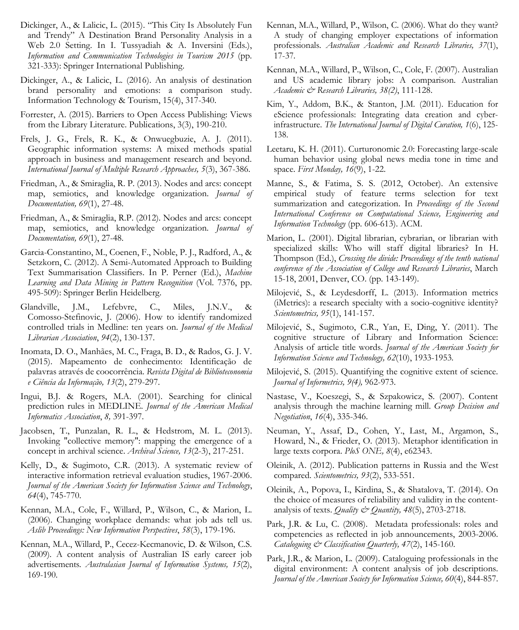- Dickinger, A., & Lalicic, L. (2015). "This City Is Absolutely Fun and Trendy" A Destination Brand Personality Analysis in a Web 2.0 Setting. In I. Tussyadiah & A. Inversini (Eds.), *Information and Communication Technologies in Tourism 2015* (pp. 321-333): Springer International Publishing.
- Dickinger, A., & Lalicic, L. (2016). An analysis of destination brand personality and emotions: a comparison study. Information Technology & Tourism, 15(4), 317-340.
- Forrester, A. (2015). Barriers to Open Access Publishing: Views from the Library Literature. Publications, 3(3), 190-210.
- Frels, J. G., Frels, R. K., & Onwuegbuzie, A. J. (2011). Geographic information systems: A mixed methods spatial approach in business and management research and beyond. *International Journal of Multiple Research Approaches, 5*(3), 367-386.
- Friedman, A., & Smiraglia, R. P. (2013). Nodes and arcs: concept map, semiotics, and knowledge organization. *Journal of Documentation, 69*(1), 27-48.
- Friedman, A., & Smiraglia, R.P. (2012). Nodes and arcs: concept map, semiotics, and knowledge organization. *Journal of Documentation, 69*(1), 27-48.
- Garcia-Constantino, M., Coenen, F., Noble, P. J., Radford, A., & Setzkorn, C. (2012). A Semi-Automated Approach to Building Text Summarisation Classifiers. In P. Perner (Ed.), *Machine Learning and Data Mining in Pattern Recognition* (Vol. 7376, pp. 495-509): Springer Berlin Heidelberg.
- Glandville, J.M., Lefebvre, C., Miles, J.N.V., & Comosso-Stefinovic, J. (2006). How to identify randomized controlled trials in Medline: ten years on. *Journal of the Medical Librarian Association*, *94*(2), 130-137.
- Inomata, D. O., Manhães, M. C., Fraga, B. D., & Rados, G. J. V. (2015). Mapeamento de conhecimento: Identificação de palavras através de coocorrência. *Revista Digital de Biblioteconomia e Ciência da Informação, 13*(2), 279-297.
- Ingui, B.J. & Rogers, M.A. (2001). Searching for clinical prediction rules in MEDLINE. *Journal of the American Medical Informatics Association*, *8,* 391-397.
- Jacobsen, T., Punzalan, R. L., & Hedstrom, M. L. (2013). Invoking "collective memory": mapping the emergence of a concept in archival science. *Archival Science, 13*(2-3), 217-251.
- Kelly, D., & Sugimoto, C.R. (2013). A systematic review of interactive information retrieval evaluation studies, 1967-2006. *Journal of the American Society for Information Science and Technology*, *64*(4), 745-770.
- Kennan, M.A., Cole, F., Willard, P., Wilson, C., & Marion, L. (2006). Changing workplace demands: what job ads tell us. *Aslib Proceedings: New Information Perspectives*, *58*(3), 179-196.
- Kennan, M.A., Willard, P., Cecez-Kecmanovic, D. & Wilson, C.S. (2009). A content analysis of Australian IS early career job advertisements*. Australasian Journal of Information Systems, 15*(2), 169-190.
- Kennan, M.A., Willard, P., Wilson, C. (2006). What do they want? A study of changing employer expectations of information professionals. *Australian Academic and Research Libraries, 37*(1), 17-37.
- Kennan, M.A., Willard, P., Wilson, C., Cole, F. (2007). Australian and US academic library jobs: A comparison. Australian *Academic & Research Libraries, 38(2)*, 111-128.
- Kim, Y., Addom, B.K., & Stanton, J.M. (2011). Education for eScience professionals: Integrating data creation and cyberinfrastructure. *The International Journal of Digital Curation, 1*(6), 125- 138.
- Leetaru, K. H. (2011). Curturonomic 2.0: Forecasting large-scale human behavior using global news media tone in time and space. *First Monday, 16*(9), 1-22.
- Manne, S., & Fatima, S. S. (2012, October). An extensive empirical study of feature terms selection for text summarization and categorization. In *Proceedings of the Second International Conference on Computational Science, Engineering and Information Technology* (pp. 606-613). ACM.
- Marion, L. (2001). Digital librarian, cybrarian, or librarian with specialized skills: Who will staff digital libraries? In H. Thompson (Ed.), *Crossing the divide: Proceedings of the tenth national conference of the Association of College and Research Libraries*, March 15-18, 2001, Denver, CO. (pp. 143-149).
- Milojević, S., & Leydesdorff, L. (2013). Information metrics (iMetrics): a research specialty with a socio-cognitive identity? *Scientometrics, 95*(1), 141-157.
- Milojević, S., Sugimoto, C.R., Yan, E, Ding, Y. (2011). The cognitive structure of Library and Information Science: Analysis of article title words. *Journal of the American Society for Information Science and Technology, 62*(10), 1933-1953*.*
- Milojević, S. (2015). Quantifying the cognitive extent of science*. Journal of Informetrics, 9(4),* 962-973.
- Nastase, V., Koeszegi, S., & Szpakowicz, S. (2007). Content analysis through the machine learning mill. *Group Decision and Negotiation*, *16*(4), 335-346.
- Neuman, Y., Assaf, D., Cohen, Y., Last, M., Argamon, S., Howard, N., & Frieder, O. (2013). Metaphor identification in large texts corpora. *PloS ONE, 8*(4), e62343.
- Oleinik, A. (2012). Publication patterns in Russia and the West compared*. Scientometrics, 93*(2), 533-551.
- Oleinik, A., Popova, I., Kirdina, S., & Shatalova, T. (2014). On the choice of measures of reliability and validity in the contentanalysis of texts. *Quality & Quantity, 48*(5), 2703-2718.
- Park, J.R. & Lu, C. (2008). Metadata professionals: roles and competencies as reflected in job announcements, 2003-2006. *Cataloguing & Classification Quarterly, 47*(2), 145-160.
- Park, J.R., & Marion, L. (2009). Cataloguing professionals in the digital environment: A content analysis of job descriptions. *Journal of the American Society for Information Science, 60*(4), 844-857.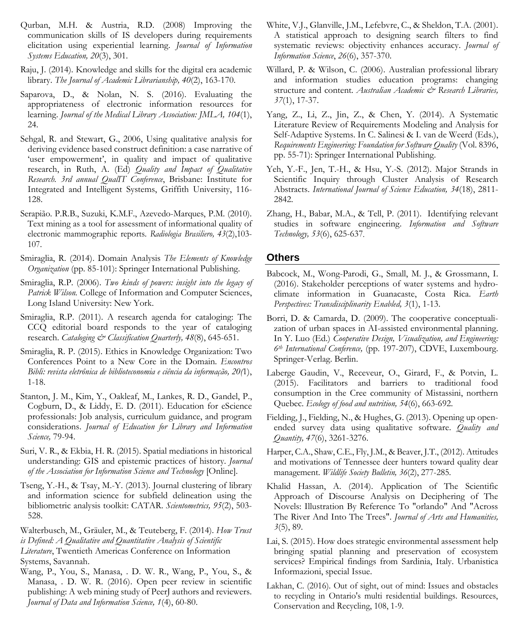- Qurban, M.H. & Austria, R.D. (2008) Improving the communication skills of IS developers during requirements elicitation using experiential learning. *Journal of Information Systems Education, 20*(3), 301.
- Raju, J. (2014). Knowledge and skills for the digital era academic library. *The Journal of Academic Librarianship, 40*(2), 163-170.
- Saparova, D., & Nolan, N. S. (2016). Evaluating the appropriateness of electronic information resources for learning. *Journal of the Medical Library Association: JMLA, 104*(1), 24.
- Sehgal, R. and Stewart, G., 2006, Using qualitative analysis for deriving evidence based construct definition: a case narrative of 'user empowerment', in quality and impact of qualitative research, in Ruth, A. (Ed) *Quality and Impact of Qualitative Research. 3rd annual QualIT Conference*, Brisbane: Institute for Integrated and Intelligent Systems, Griffith University, 116- 128.
- Serapião. P.R.B., Suzuki, K.M.F., Azevedo-Marques, P.M. (2010). Text mining as a tool for assessment of informational quality of electronic mammographic reports. *Radiologia Brasiliero, 43*(2),103- 107.
- Smiraglia, R. (2014). Domain Analysis *The Elements of Knowledge Organization* (pp. 85-101): Springer International Publishing.
- Smiraglia, R.P. (2006). *Two kinds of powers: insight into the legacy of Patrick Wilson.* College of Information and Computer Sciences, Long Island University: New York.
- Smiraglia, R.P. (2011). A research agenda for cataloging: The CCQ editorial board responds to the year of cataloging research. *Cataloging & Classification Quarterly, 48*(8), 645-651.
- Smiraglia, R. P. (2015). Ethics in Knowledge Organization: Two Conferences Point to a New Core in the Domain. *Encontros Bibli: revista eletrônica de biblioteconomia e ciência da informação, 20(*1), 1-18.
- Stanton, J. M., Kim, Y., Oakleaf, M., Lankes, R. D., Gandel, P., Cogburn, D., & Liddy, E. D. (2011). Education for eScience professionals: Job analysis, curriculum guidance, and program considerations. *Journal of Education for Library and Information Science,* 79-94.
- Suri, V. R., & Ekbia, H. R. (2015). Spatial mediations in historical understanding: GIS and epistemic practices of history. *Journal of the Association for Information Science and Technology* [Online]*.*
- Tseng, Y.-H., & Tsay, M.-Y. (2013). Journal clustering of library and information science for subfield delineation using the bibliometric analysis toolkit: CATAR. *Scientometrics, 95*(2), 503- 528.
- Walterbusch, M., Gräuler, M., & Teuteberg, F. (2014). *How Trust is Defined: A Qualitative and Quantitative Analysis of Scientific Literature*, Twentieth Americas Conference on Information
- Systems, Savannah.
- Wang, P., You, S., Manasa, . D. W. R., Wang, P., You, S., & Manasa, . D. W. R. (2016). Open peer review in scientific publishing: A web mining study of PeerJ authors and reviewers. *Journal of Data and Information Science, 1*(4), 60-80.
- White, V.J., Glanville, J.M., Lefebvre, C., & Sheldon, T.A. (2001). A statistical approach to designing search filters to find systematic reviews: objectivity enhances accuracy. *Journal of Information Science*, *26*(6), 357-370.
- Willard, P. & Wilson, C. (2006). Australian professional library and information studies education programs: changing structure and content. Australian Academic & Research Libraries, *37*(1), 17-37.
- Yang, Z., Li, Z., Jin, Z., & Chen, Y. (2014). A Systematic Literature Review of Requirements Modeling and Analysis for Self-Adaptive Systems. In C. Salinesi & I. van de Weerd (Eds.), *Requirements Engineering: Foundation for Software Quality* (Vol. 8396, pp. 55-71): Springer International Publishing.
- Yeh, Y.-F., Jen, T.-H., & Hsu, Y.-S. (2012). Major Strands in Scientific Inquiry through Cluster Analysis of Research Abstracts. *International Journal of Science Education, 34*(18), 2811- 2842.
- Zhang, H., Babar, M.A., & Tell, P. (2011). Identifying relevant studies in software engineering. *Information and Software Technology, 53*(6), 625-637.

### **Others**

- Babcock, M., Wong-Parodi, G., Small, M. J., & Grossmann, I. (2016). Stakeholder perceptions of water systems and hydroclimate information in Guanacaste, Costa Rica. *Earth Perspectives: Transdisciplinarity Enabled, 3*(1), 1-13.
- Borri, D. & Camarda, D. (2009). The cooperative conceptualization of urban spaces in AI-assisted environmental planning. In Y. Luo (Ed.) *Cooperative Design, Visualization, and Engineering: 6th International Conference,* (pp. 197-207), CDVE, Luxembourg. Springer-Verlag. Berlin.
- Laberge Gaudin, V., Receveur, O., Girard, F., & Potvin, L. (2015). Facilitators and barriers to traditional food consumption in the Cree community of Mistassini, northern Quebec. *Ecology of food and nutrition, 54*(6), 663-692.
- Fielding, J., Fielding, N., & Hughes, G. (2013). Opening up openended survey data using qualitative software. *Quality and Quantity, 47*(6), 3261-3276.
- Harper, C.A., Shaw, C.E., Fly, J.M., & Beaver, J.T., (2012). Attitudes and motivations of Tennessee deer hunters toward quality dear management. *Wildlife Society Bulletin, 36*(2), 277-285.
- Khalid Hassan, A. (2014). Application of The Scientific Approach of Discourse Analysis on Deciphering of The Novels: Illustration By Reference To "orlando" And "Across The River And Into The Trees". *Journal of Arts and Humanities, 3*(5), 89.
- Lai, S. (2015). How does strategic environmental assessment help bringing spatial planning and preservation of ecosystem services? Empirical findings from Sardinia, Italy. Urbanistica Informazioni, special Issue.
- Lakhan, C. (2016). Out of sight, out of mind: Issues and obstacles to recycling in Ontario's multi residential buildings. Resources, Conservation and Recycling, 108, 1-9.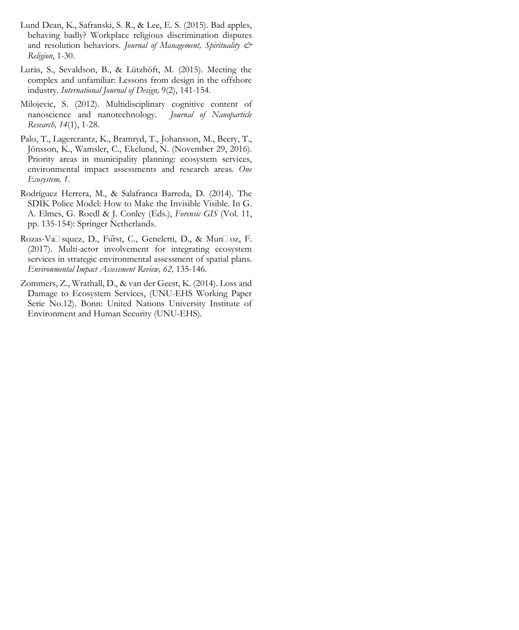- Lund Dean, K., Safranski, S. R., & Lee, E. S. (2015). Bad apples, behaving badly? Workplace religious discrimination disputes and resolution behaviors. *Journal of Management, Spirituality & Religion*, 1-30.
- Lurås, S., Sevaldson, B., & Lützhöft, M. (2015). Meeting the complex and unfamiliar: Lessons from design in the offshore industry. *International Journal of Design,* 9(2), 141-154.
- Milojevic, S. (2012). Multidisciplinary cognitive content of nanoscience and nanotechnology. *Journal of Nanoparticle Research, 14*(1), 1-28.
- Palo, T., Lagercrantz, K., Bramryd, T., Johansson, M., Beery, T., Jönsson, K., Wamsler, C., Ekelund, N. (November 29, 2016). Priority areas in municipality planning: ecosystem services, environmental impact assessments and research areas*. One Ecosystem, 1*.
- Rodríguez Herrera, M., & Salafranca Barreda, D. (2014). The SDIK Police Model: How to Make the Invisible Visible. In G. A. Elmes, G. Roedl & J. Conley (Eds.), *Forensic GIS* (Vol. 11, pp. 135-154): Springer Netherlands.
- Rozas-Va<sup> $\Box$ </sup> squez, D., Furst, C., Geneletti, D., & Mun $\Box$  oz, F. (2017). Multi-actor involvement for integrating ecosystem services in strategic environmental assessment of spatial plans. *Environmental Impact Assessment Review, 62,* 135-146.
- Zommers, Z., Wrathall, D., & van der Geest, K. (2014). Loss and Damage to Ecosystem Services, (UNU-EHS Working Paper Serie No.12). Bonn: United Nations University Institute of Environment and Human Security (UNU-EHS).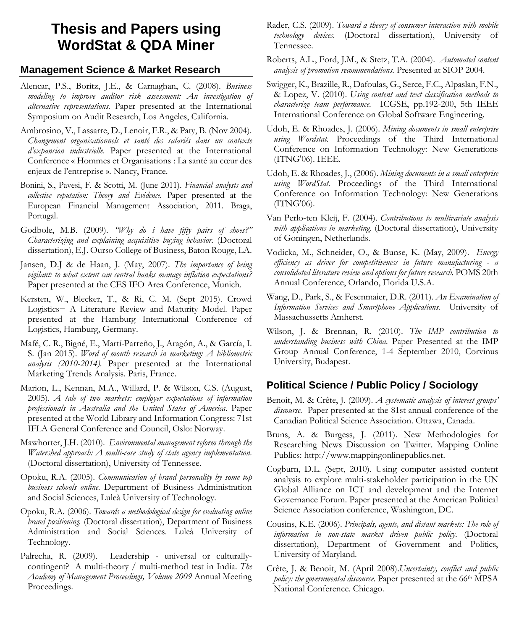# **Thesis and Papers using WordStat & QDA Miner**

### **Management Science & Market Research**

- Alencar, P.S., Boritz, J.E., & Carnaghan, C. (2008). *Business modeling to improve auditor risk assessment: An investigation of alternative representations.* Paper presented at the International Symposium on Audit Research, Los Angeles, California.
- Ambrosino, V., Lassarre, D., Lenoir, F.R., & Paty, B. (Nov 2004). *Changement organisationnels et santé des salariés dans un contexte d'expansion industrielle*. Paper presented at the International Conference « Hommes et Organisations : La santé au cœur des enjeux de l'entreprise ». Nancy, France.
- Bonini, S., Pavesi, F. & Scotti, M. (June 2011). *Financial analysts and collective reputation: Theory and Evidence.* Paper presented at the European Financial Management Association, 2011. Braga, Portugal.
- Godbole, M.B. (2009). *"Why do i have fifty pairs of shoes?" Characterizing and explaining acquisitive buying behavior.* (Doctoral dissertation), E.J. Ourso College of Business, Baton Rouge, LA.
- Jansen, D.J & de Haan, J. (May, 2007). *The importance of being vigilant: to what extent can central banks manage inflation expectations?* Paper presented at the CES IFO Area Conference, Munich.
- Kersten, W., Blecker, T., & Ri, C. M. (Sept 2015). Crowd Logistics− A Literature Review and Maturity Model. Paper presented at the Hamburg International Conference of Logistics, Hamburg, Germany.
- Mafé, C. R., Bigné, E., Martí-Parreño, J., Aragón, A., & García, I. S. (Jan 2015). *Word of mouth research in marketing: A bibliometric analysis (2010-2014)*. Paper presented at the International Marketing Trends Analysis. Paris, France.
- Marion, L., Kennan, M.A., Willard, P. & Wilson, C.S. (August, 2005). *A tale of two markets: employer expectations of information professionals in Australia and the United States of America*. Paper presented at the World Library and Information Congress: 71st IFLA General Conference and Council, Oslo: Norway.
- Mawhorter, J.H. (2010). *Environmental management reform through the Watershed approach: A multi-case study of state agency implementation.* (Doctoral dissertation), University of Tennessee.
- Opoku, R.A. (2005). *Communication of brand personality by some top business schools online.* Department of Business Administration and Social Sciences, Luleà University of Technology.
- Opoku, R.A. (2006). *Towards a methodological design for evaluating online brand positioning.* (Doctoral dissertation), Department of Business Administration and Social Sciences. Luleå University of Technology.
- Palrecha, R. (2009). Leadership universal or culturallycontingent? A multi-theory / multi-method test in India. *The Academy of Management Proceedings, Volume 2009* Annual Meeting Proceedings.
- Rader, C.S. (2009). *Toward a theory of consumer interaction with mobile technology devices.* (Doctoral dissertation), University of Tennessee.
- Roberts, A.L., Ford, J.M., & Stetz, T.A. (2004). *Automated content analysis of promotion recommendations*. Presented at SIOP 2004.
- Swigger, K., Brazille, R., Dafoulas, G., Serce, F.C., Alpaslan, F.N., & Lopez, V. (2010). *Using content and text classification methods to characterize team performance.* ICGSE, pp.192-200, 5th IEEE International Conference on Global Software Engineering.
- Udoh, E. & Rhoades, J. (2006). *Mining documents in small enterprise using Wordstat.* Proceedings of the Third International Conference on Information Technology: New Generations (ITNG'06). IEEE.
- Udoh, E. & Rhoades, J., (2006). *Mining documents in a small enterprise using WordStat.* Proceedings of the Third International Conference on Information Technology: New Generations (ITNG'06).
- Van Perlo-ten Kleij, F. (2004). *Contributions to multivariate analysis with applications in marketing*. (Doctoral dissertation), University of Goningen, Netherlands.
- Vodicka, M., Schneider, O., & Bunse, K. (May, 2009). *Energy efficiency as driver for competitiveness in future manufacturing - a consolidated literature review and options for future research.* POMS 20th Annual Conference, Orlando, Florida U.S.A.
- Wang, D., Park, S., & Fesenmaier, D.R. (2011). *An Examination of Information Services and Smartphone Applications.* University of Massachussetts Amherst.
- Wilson, J. & Brennan, R. (2010). *The IMP contribution to understanding business with China.* Paper Presented at the IMP Group Annual Conference, 1-4 September 2010, Corvinus University, Budapest.

## **Political Science / Public Policy / Sociology**

- Benoit, M. & Crête, J. (2009). *A systematic analysis of interest groups' discourse.* Paper presented at the 81st annual conference of the Canadian Political Science Association. Ottawa, Canada.
- Bruns, A. & Burgess, J. (2011). New Methodologies for Researching News Discussion on Twitter. Mapping Online Publics: http://www.mappingonlinepublics.net.
- Cogburn, D.L. (Sept, 2010). Using computer assisted content analysis to explore multi-stakeholder participation in the UN Global Alliance on ICT and development and the Internet Governance Forum. Paper presented at the American Political Science Association conference, Washington, DC.
- Cousins, K.E. (2006). *Principals, agents, and distant markets: The role of information in non-state market driven public policy*. (Doctoral dissertation), Department of Government and Politics, University of Maryland.
- Crête, J. & Benoit, M. (April 2008).*Uncertainty, conflict and public policy: the governmental discourse.* Paper presented at the 66th MPSA National Conference. Chicago.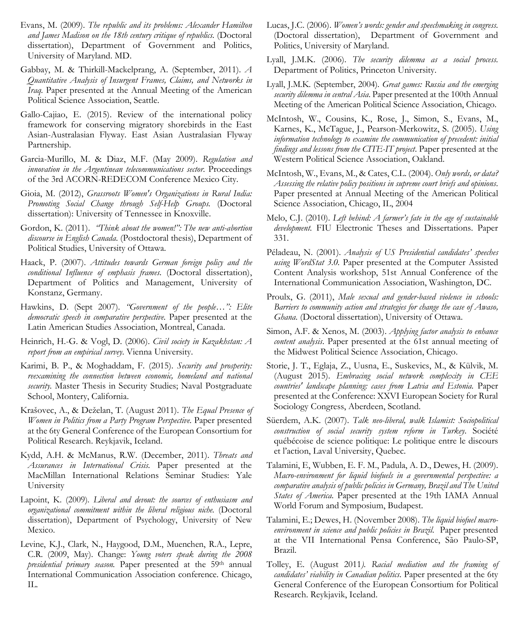- Evans, M. (2009). *The republic and its problems: Alexander Hamilton and James Madison on the 18th century critique of republics.* (Doctoral dissertation), Department of Government and Politics, University of Maryland. MD.
- Gabbay, M. & Thirkill-Mackelprang, A. (September, 2011). *A Quantitative Analysis of Insurgent Frames, Claims, and Networks in Iraq.* Paper presented at the Annual Meeting of the American Political Science Association, Seattle.
- Gallo-Cajiao, E. (2015). Review of the international policy framework for conserving migratory shorebirds in the East Asian-Australasian Flyway. East Asian Australasian Flyway Partnership.
- Garcia-Murillo, M. & Diaz, M.F. (May 2009). *Regulation and innovation in the Argentinean telecommunications sector.* Proceedings of the 3rd ACORN-REDECOM Conference Mexico City.
- Gioia, M. (2012), *Grassroots Women's Organizations in Rural India: Promoting Social Change through Self-Help Groups.* (Doctoral dissertation): University of Tennessee in Knoxville.
- Gordon, K. (2011). *"Think about the women!": The new anti-abortion discourse in English Canada*. (Postdoctoral thesis), Department of Political Studies, University of Ottawa.
- Haack, P. (2007). *Attitudes towards German foreign policy and the conditional Influence of emphasis frames*. (Doctoral dissertation), Department of Politics and Management, University of Konstanz, Germany.
- Hawkins, D. (Sept 2007). *"Government of the people…": Elite democratic speech in comparative perspective.* Paper presented at the Latin American Studies Association, Montreal, Canada.
- Heinrich, H.-G. & Vogl, D. (2006). *Civil society in Kazakhstan: A report from an empirical survey*. Vienna University.
- Karimi, B. P., & Moghaddam, F. (2015). *Security and prosperity: reexamining the connection between economic, homeland and national security.* Master Thesis in Security Studies; Naval Postgraduate School, Montery, California.
- Krašovec, A., & Deželan, T. (August 2011). *The Equal Presence of Women in Politics from a Party Program Perspective.* Paper presented at the 6ty General Conference of the European Consortium for Political Research. Reykjavik, Iceland.
- Kydd, A.H. & McManus, R.W. (December, 2011). *Threats and Assurances in International Crisis.* Paper presented at the MacMillan International Relations Seminar Studies: Yale University
- Lapoint, K. (2009). *Liberal and devout: the sources of enthusiasm and organizational commitment within the liberal religious niche.* (Doctoral dissertation), Department of Psychology, University of New Mexico.
- Levine, K.J., Clark, N., Haygood, D.M., Muenchen, R.A., Lepre, C.R. (2009, May). Change: *Young voters speak during the 2008 presidential primary season.* Paper presented at the 59th annual International Communication Association conference. Chicago, IL.
- Lucas, J.C. (2006). *Women's words: gender and speechmaking in congress.* (Doctoral dissertation), Department of Government and Politics, University of Maryland.
- Lyall, J.M.K. (2006). *The security dilemma as a social process.* Department of Politics, Princeton University.
- Lyall, J.M.K. (September, 2004). *Great games: Russia and the emerging security dilemma in central Asia*. Paper presented at the 100th Annual Meeting of the American Political Science Association, Chicago.
- McIntosh, W., Cousins, K., Rose, J., Simon, S., Evans, M., Karnes, K., McTague, J., Pearson-Merkowitz, S. (2005). *Using information technology to examine the communication of precedent: initial findings and lessons from the CITE-IT project*. Paper presented at the Western Political Science Association, Oakland.
- McIntosh, W., Evans, M., & Cates, C.L. (2004). *Only words, or data? Assessing the relative policy positions in supreme court briefs and opinions*. Paper presented at Annual Meeting of the American Political Science Association, Chicago, IL, 2004
- Melo, C.J. (2010). *Left behind: A farmer's fate in the age of sustainable development.* FIU Electronic Theses and Dissertations. Paper 331.
- Péladeau, N. (2001). *Analysis of US Presidential candidates' speeches using WordStat 3.0.* Paper presented at the Computer Assisted Content Analysis workshop, 51st Annual Conference of the International Communication Association, Washington, DC.
- Proulx, G. (2011), *Male sexual and gender-based violence in schools: Barriers to community action and strategies for change the case of Awaso, Ghana.* (Doctoral dissertation), University of Ottawa.
- Simon, A.F. & Xenos, M. (2003). *Applying factor analysis to enhance content analysis*. Paper presented at the 61st annual meeting of the Midwest Political Science Association, Chicago.
- Storie, J. T., Eglaja, Z., Uusna, E., Suskevics, M., & Külvik, M. (August 2015). *Embracing social network complexity in CEE countries' landscape planning: cases from Latvia and Estonia.* Paper presented at the Conference: XXVI European Society for Rural Sociology Congress, Aberdeen, Scotland.
- Süerdem, A.K. (2007). *Talk neo-liberal, walk Islamist: Sociopolitical construction of social security system reform in Turkey*. Société québécoise de science politique: Le politique entre le discours et l'action, Laval University, Quebec.
- Talamini, E, Wubben, E. F. M., Padula, A. D., Dewes, H. (2009). *Macro-environment for liquid biofuels in a governmental perspective: a comparative analysis of public policies in Germany, Brazil and The United States of America*. Paper presented at the 19th IAMA Annual World Forum and Symposium, Budapest.
- Talamini, E.; Dewes, H. (November 2008). *The liquid biofuel macroenvironment in science and public policies in Brazil*. Paper presented at the VII International Pensa Conference, São Paulo-SP, Brazil.
- Tolley, E. (August 2011*). Racial mediation and the framing of candidates' viability in Canadian politics.* Paper presented at the 6ty General Conference of the European Consortium for Political Research. Reykjavik, Iceland.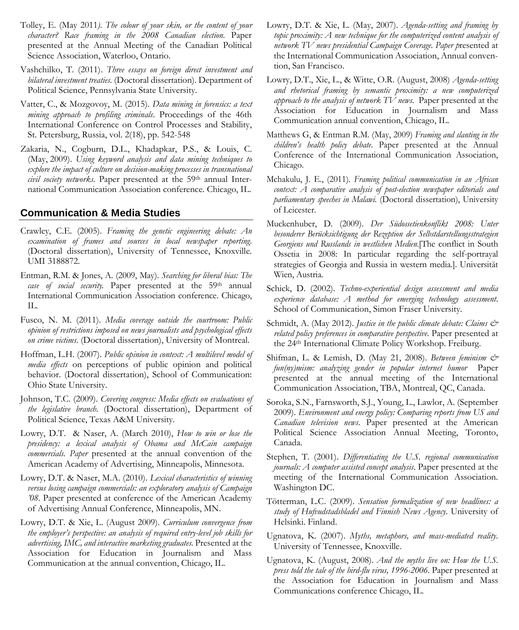- Tolley, E. (May 2011*). The colour of your skin, or the content of your character? Race framing in the 2008 Canadian election.* Paper presented at the Annual Meeting of the Canadian Political Science Association, Waterloo, Ontario.
- Vashchilko, T. (2011). *Three essays on foreign direct investment and bilateral investment treaties.* (Doctoral dissertation). Department of Political Science, Pennsylvania State University.
- Vatter, C., & Mozgovoy, M. (2015). *Data mining in forensics: a text mining approach to profiling criminals*. Proceedings of the 46th International Conference on Control Processes and Stability, St. Petersburg, Russia, vol. 2(18), pp. 542-548
- Zakaria, N., Cogburn, D.L., Khadapkar, P.S., & Louis, C. (May, 2009). *Using keyword analysis and data mining techniques to explore the impact of culture on decision-making processes in transnational*  civil society networks. Paper presented at the 59<sup>th</sup> annual International Communication Association conference. Chicago, IL.

### **Communication & Media Studies**

- Crawley, C.E. (2005). *Framing the genetic engineering debate: An examination of frames and sources in local newspaper reporting*. (Doctoral dissertation), University of Tennessee, Knoxville. UMI 3188872.
- Entman, R.M. & Jones, A. (2009, May). *Searching for liberal bias: The case of social security.* Paper presented at the 59th annual International Communication Association conference. Chicago, IL.
- Fusco, N. M. (2011). *Media coverage outside the courtroom: Public opinion of restrictions imposed on news journalists and psychological effects on crime victims*. (Doctoral dissertation), University of Montreal.
- Hoffman, L.H. (2007). *Public opinion in context: A multilevel model of media effects* on perceptions of public opinion and political behavior. (Doctoral dissertation), School of Communication: Ohio State University.
- Johnson, T.C. (2009). *Covering congress: Media effects on evaluations of the legislative branch.* (Doctoral dissertation), Department of Political Science, Texas A&M University.
- Lowry, D.T. & Naser, A. (March 2010), *How to win or lose the presidency: a lexical analysis of Obama and McCain campaign commercials. Paper* presented at the annual convention of the American Academy of Advertising, Minneapolis, Minnesota.
- Lowry, D.T. & Naser, M.A. (2010). *Lexical characteristics of winning versus losing campaign commercials: an exploratory analysis of Campaign '08*. Paper presented at conference of the American Academy of Advertising Annual Conference, Minneapolis, MN.
- Lowry, D.T. & Xie, L. (August 2009). *Curriculum convergence from the employer's perspective: an analysis of required entry-level job skills for advertising, IMC, and interactive marketing graduates.* Presented at the Association for Education in Journalism and Mass Communication at the annual convention, Chicago, IL.
- Lowry, D.T. & Xie, L. (May, 2007). *Agenda-setting and framing by topic proximity: A new technique for the computerized content analysis of network TV news presidential Campaign Coverage. Paper p*resented at the International Communication Association, Annual convention, San Francisco.
- Lowry, D.T., Xie, L., & Witte, O.R. (August, 2008) *Agenda-setting and rhetorical framing by semantic proximity: a new computerized approach to the analysis of network TV news.* Paper presented at the Association for Education in Journalism and Mass Communication annual convention, Chicago, IL.
- Matthews G, & Entman R.M. (May, 2009) *Framing and slanting in the children's health policy debate*. Paper presented at the Annual Conference of the International Communication Association, Chicago.
- Mchakulu, J. E., (2011). *Framing political communication in an African context: A comparative analysis of post-election newspaper editorials and parliamentary speeches in Malawi.* (Doctoral dissertation), University of Leicester.
- Muckenhuber, D. (2009). *Der Südossetienkonflikt 2008: Unter besonderer Berücksichtigung der Rezeption der Selbstdarstellungsstrategien Georgiens und Russlands in westlichen Medien*.[The conflict in South Ossetia in 2008: In particular regarding the self-portrayal strategies of Georgia and Russia in western media.]. Universität Wien, Austria.
- Schick, D. (2002). *Techno-experiential design assessment and media experience database: A method for emerging technology assessment*. School of Communication, Simon Fraser University.
- Schmidt, A. (May 2012). *Justice in the public climate debate: Claims & related policy preferences in comparative perspective.* Paper presented at the 24th International Climate Policy Workshop. Freiburg.
- Shifman, L. & Lemish, D. (May 21, 2008). *Between feminism & fun(ny)mism: analyzing gender in popular internet humor* Paper presented at the annual meeting of the International Communication Association, TBA, Montreal, QC, Canada.
- Soroka, S.N., Farnsworth, S.J., Young, L., Lawlor, A. (September 2009). *Environment and energy policy: Comparing reports from US and Canadian television news*. Paper presented at the American Political Science Association Annual Meeting, Toronto, Canada.
- Stephen, T. (2001). *Differentiating the U.S. regional communication journals: A computer assisted concept analysis*. Paper presented at the meeting of the International Communication Association. Washington DC.
- Tötterman, L.C. (2009). *Sensation formalization of new headlines: a study of Hufvudstadsbladel and Finnish News Agency*. University of Helsinki. Finland.
- Ugnatova, K. (2007). *Myths, metaphors, and mass-mediated reality.* University of Tennessee, Knoxville.
- Ugnatova, K. (August, 2008). *And the myths live on: How the U.S. press told the tale of the bird-flu virus, 1996-2006.* Paper presented at the Association for Education in Journalism and Mass Communications conference Chicago, IL.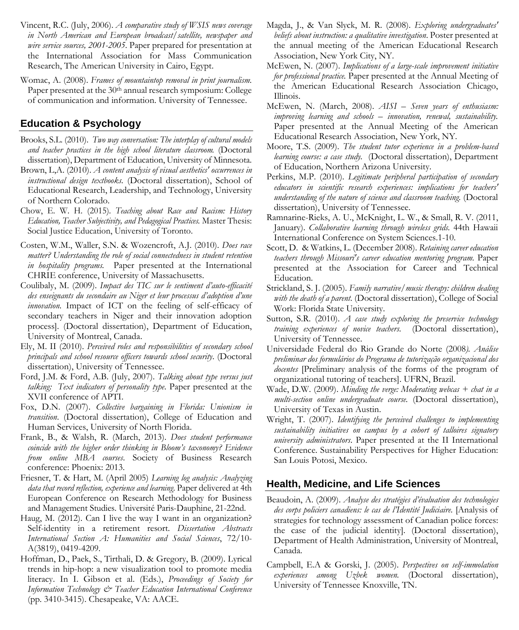- Vincent, R.C. (July, 2006). *A comparative study of WSIS news coverage in North American and European broadcast/satellite, newspaper and wire service sources, 2001-2005*. Paper prepared for presentation at the International Association for Mass Communication Research, The American University in Cairo, Egypt.
- Womac, A. (2008). *Frames of mountaintop removal in print journalism.*  Paper presented at the 30<sup>th</sup> annual research symposium: College of communication and information. University of Tennessee.

# **Education & Psychology**

- Brooks, S.L. (2010). *Two way conversation: The interplay of cultural models and teacher practices in the high school literature classroom.* (Doctoral dissertation), Department of Education, University of Minnesota.
- Brown, L,A. (2010). *A content analysis of visual aesthetics' occurrences in instructional design textbooks.* (Doctoral dissertation), School of Educational Research, Leadership, and Technology, University of Northern Colorado.
- Chow, E. W. H. (2015). *Teaching about Race and Racism: History Education, Teacher Subjectivity, and Pedagogical Practices.* Master Thesis: Social Justice Education, University of Toronto.
- Costen, W.M., Waller, S.N. & Wozencroft, A.J. (2010). *Does race matter? Understanding the role of social connectedness in student retention in hospitality programs.* Paper presented at the International CHRIE conference, University of Massachusetts.
- Coulibaly, M. (2009). *Impact des TIC sur le sentiment d'auto-efficacité des enseignants du secondaire au Niger et leur processus d'adoption d'une innovation.* Impact of ICT on the feeling of self-efficacy of secondary teachers in Niger and their innovation adoption process]. (Doctoral dissertation), Department of Education, University of Montreal, Canada.
- Ely, M. II (2010). *Perceived roles and responsibilities of secondary school principals and school resource officers towards school security*. (Doctoral dissertation), University of Tennessee.
- Ford, J.M. & Ford, A.B. (July, 2007). *Talking about type versus just talking: Text indicators of personality type*. Paper presented at the XVII conference of APTI.
- Fox, D.N. (2007). *Collective bargaining in Florida: Unionism in transition*. (Doctoral dissertation), College of Education and Human Services, University of North Florida.
- Frank, B., & Walsh, R. (March, 2013). *Does student performance coincide with the higher order thinking in Bloom's taxonomy? Evidence from online MBA courses*. Society of Business Research conference: Phoenix: 2013.
- Friesner, T. & Hart, M. (April 2005) *Learning log analysis: Analyzing data that record reflection, experience and learning*. Paper delivered at 4th European Conference on Research Methodology for Business and Management Studies. Université Paris-Dauphine, 21-22nd.
- Haug, M. (2012). Can I live the way I want in an organization? Self-identity in a retirement resort. *Dissertation Abstracts International Section A: Humanities and Social Sciences*, 72/10- A(3819), 0419-4209.
- Hoffman, D., Paek, S., Tirthali, D. & Gregory, B. (2009). Lyrical trends in hip-hop: a new visualization tool to promote media literacy. In I. Gibson et al. (Eds.), *Proceedings of Society for Information Technology & Teacher Education International Conference* (pp. 3410-3415). Chesapeake, VA: AACE.
- Magda, J., & Van Slyck, M. R. (2008). *Exploring undergraduates' beliefs about instruction: a qualitative investigation*. Poster presented at the annual meeting of the American Educational Research Association, New York City, NY.
- McEwen, N. (2007). *Implications of a large-scale improvement initiative for professional practice.* Paper presented at the Annual Meeting of the American Educational Research Association Chicago, Illinois.
- McEwen, N. (March, 2008). *AISI – Seven years of enthusiasm: improving learning and schools – innovation, renewal, sustainability.* Paper presented at the Annual Meeting of the American Educational Research Association, New York, NY.
- Moore, T.S. (2009). *The student tutor experience in a problem-based learning course: a case study.* (Doctoral dissertation), Department of Education, Northern Arizona University.
- Perkins, M.P. (2010). *Legitimate peripheral participation of secondary educators in scientific research experiences: implications for teachers' understanding of the nature of science and classroom teaching*. (Doctoral dissertation), University of Tennessee.
- Ramnarine-Rieks, A. U., McKnight, L. W., & Small, R. V. (2011, January). *Collaborative learning through wireless grids.* 44th Hawaii International Conference on System Sciences.1-10.
- Scott, D. & Watkins, L. (December 2008). *Retaining career education teachers through Missouri's career education mentoring program.* Paper presented at the Association for Career and Technical Education.
- Strickland, S. J. (2005). *Family narrative/music therapy: children dealing with the death of a parent.* (Doctoral dissertation), College of Social Work: Florida State University.
- Sutton, S.R. (2010). *A case study exploring the preservice technology training experiences of novice teachers.* (Doctoral dissertation), University of Tennessee.
- Universidade Federal do Rio Grande do Norte (2008*). Análise preliminar dos formulários do Programa de tutorização organizacional dos docentes* [Preliminary analysis of the forms of the program of organizational tutoring of teachers]. UFRN, Brazil.
- Wade, D.W. (2009). *Minding the verge: Moderating webcas + chat in a multi-section online undergraduate course.* (Doctoral dissertation), University of Texas in Austin.
- Wright, T. (2007). *Identifying the perceived challenges to implementing sustainability initiatives on campus by a cohort of talloires signatory university administrators*. Paper presented at the II International Conference. Sustainability Perspectives for Higher Education: San Louis Potosi, Mexico.

### **Health, Medicine, and Life Sciences**

- Beaudoin, A. (2009). *Analyse des stratégies d'évaluation des technologies des corps policiers canadiens: le cas de l'Identité Judiciaire.* [Analysis of strategies for technology assessment of Canadian police forces: the case of the judicial identity]. (Doctoral dissertation), Department of Health Administration, University of Montreal, Canada.
- Campbell, E.A & Gorski, J. (2005). *Perspectives on self-immolation experiences among Uzbek women.* (Doctoral dissertation), University of Tennessee Knoxville, TN.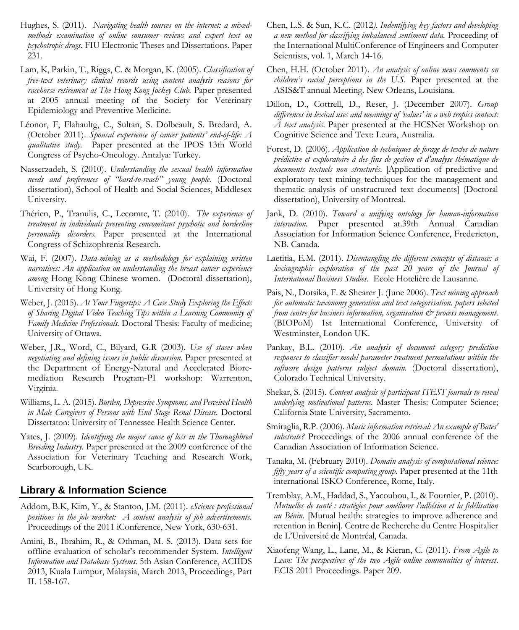- Hughes, S. (2011). *Navigating health sources on the internet: a mixedmethods examination of online consumer reviews and expert text on psychotropic drugs.* FIU Electronic Theses and Dissertations. Paper 231.
- Lam, K, Parkin, T., Riggs, C. & Morgan, K. (2005). *Classification of free-text veterinary clinical records using content analysis reasons for racehorse retirement at The Hong Kong Jockey Club.* Paper presented at 2005 annual meeting of the Society for Veterinary Epidemiology and Preventive Medicine.
- Léonor, F, Flahaultg, C., Sultan, S. Dolbeault, S. Bredard, A. (October 2011). *Spousal experience of cancer patients' end-of-life: A qualitative study.* Paper presented at the IPOS 13th World Congress of Psycho-Oncology. Antalya: Turkey.
- Nasserzadeh, S. (2010). *Understanding the sexual health information needs and preferences of "hard-to-reach" young people.* (Doctoral dissertation), School of Health and Social Sciences, Middlesex University.
- Thérien, P., Tranulis, C., Lecomte, T. (2010). *The experience of treatment in individuals presenting concomitant psychotic and borderline personality disorders.* Paper presented at the International Congress of Schizophrenia Research.
- Wai, F. (2007). *Data-mining as a methodology for explaining written narratives: An application on understanding the breast cancer experience among* Hong Kong Chinese women. (Doctoral dissertation), University of Hong Kong.
- Weber, J. (2015). *At Your Fingertips: A Case Study Exploring the Effects of Sharing Digital Video Teaching Tips within a Learning Community of Family Medicine Professionals.* Doctoral Thesis: Faculty of medicine; University of Ottawa.
- Weber, J.R., Word, C., Bilyard, G.R (2003). *Use of stases when negotiating and defining issues in public discussion.* Paper presented at the Department of Energy-Natural and Accelerated Bioremediation Research Program-PI workshop: Warrenton, Virginia.
- Williams, L. A. (2015). *Burden, Depressive Symptoms, and Perceived Health in Male Caregivers of Persons with End Stage Renal Disease.* Doctoral Dissertaton: University of Tennessee Health Science Center.
- Yates, J. (2009). *Identifying the major cause of loss in the Thoroughbred Breeding Industry*. Paper presented at the 2009 conference of the Association for Veterinary Teaching and Research Work, Scarborough, UK.

### **Library & Information Science**

- Addom, B.K, Kim, Y., & Stanton, J.M. (2011). *eScience professional positions in the job market: A content analysis of job advertisements.* Proceedings of the 2011 iConference, New York, 630-631.
- Amini, B., Ibrahim, R., & Othman, M. S. (2013). Data sets for offline evaluation of scholar's recommender System. *Intelligent Information and Database Systems.* 5th Asian Conference, ACIIDS 2013, Kuala Lumpur, Malaysia, March 2013, Proceedings, Part II. 158-167.
- Chen, L.S. & Sun, K.C. (2012*). Indentifying key factors and developing a new method for classifying imbalanced sentiment data.* Proceeding of the International MultiConference of Engineers and Computer Scientists, vol. 1, March 14-16.
- Chen, H.H. (October 2011). *An analysis of online news comments on children's racial perceptions in the U.S.* Paper presented at the ASIS&T annual Meeting. New Orleans, Louisiana.
- Dillon, D., Cottrell, D., Reser, J. (December 2007). *Group differences in lexical uses and meanings of 'values' in a web tropics context: A text analysis*. Paper presented at the HCSNet Workshop on Cognitive Science and Text: Leura, Australia.
- Forest, D. (2006). *Application de techniques de forage de textes de nature prédictive et exploratoire à des fins de gestion et d'analyse thématique de documents textuels non structurés*. [Application of predictive and exploratory text mining techniques for the management and thematic analysis of unstructured text documents] (Doctoral dissertation), University of Montreal.
- Jank, D. (2010). *Toward a unifying ontology for human-information interaction.* Paper presented at.39th Annual Canadian Association for Information Science Conference, Fredericton, NB. Canada.
- Laetitia, E.M. (2011). *Disentangling the different concepts of distance: a lexicographic exploration of the past 20 years of the Journal of International Business Studies*. Ecole Hotelière de Lausanne.
- Pais, N., Dotsika, F. & Shearer J. (June 2006). *Text mining approach for automatic taxonomy generation and text categorisation. papers selected from centre for business information, organisation & process management*. (BIOPoM) 1st International Conference, University of Westminster, London UK.
- Pankay, B.L. (2010). *An analysis of document category prediction responses to classifier model parameter treatment permutations within the software design patterns subject domain.* (Doctoral dissertation), Colorado Technical University.
- Shekar, S. (2015). *Content analysis of participant ITEST journals to reveal underlying motivational patterns.* Master Thesis: Computer Science; California State University, Sacramento.
- Smiraglia, R.P. (2006). *Music information retrieval: An example of Bates' substrate?* Proceedings of the 2006 annual conference of the Canadian Association of Information Science.
- Tanaka, M. (February 2010). *Domain analysis of computational science: fifty years of a scientific computing group.* Paper presented at the 11th international ISKO Conference, Rome, Italy.
- Tremblay, A.M., Haddad, S., Yacoubou, I., & Fournier, P. (2010). *Mutuelles de santé : stratégies pour améliorer l'adhésion et la fidélisation au Bénin.* [Mutual health: strategies to improve adherence and retention in Benin]. Centre de Recherche du Centre Hospitalier de L'Université de Montréal, Canada.
- Xiaofeng Wang, L., Lane, M., & Kieran, C. (2011). *From Agile to Lean: The perspectives of the two Agile online communities of interest*. ECIS 2011 Proceedings. Paper 209.